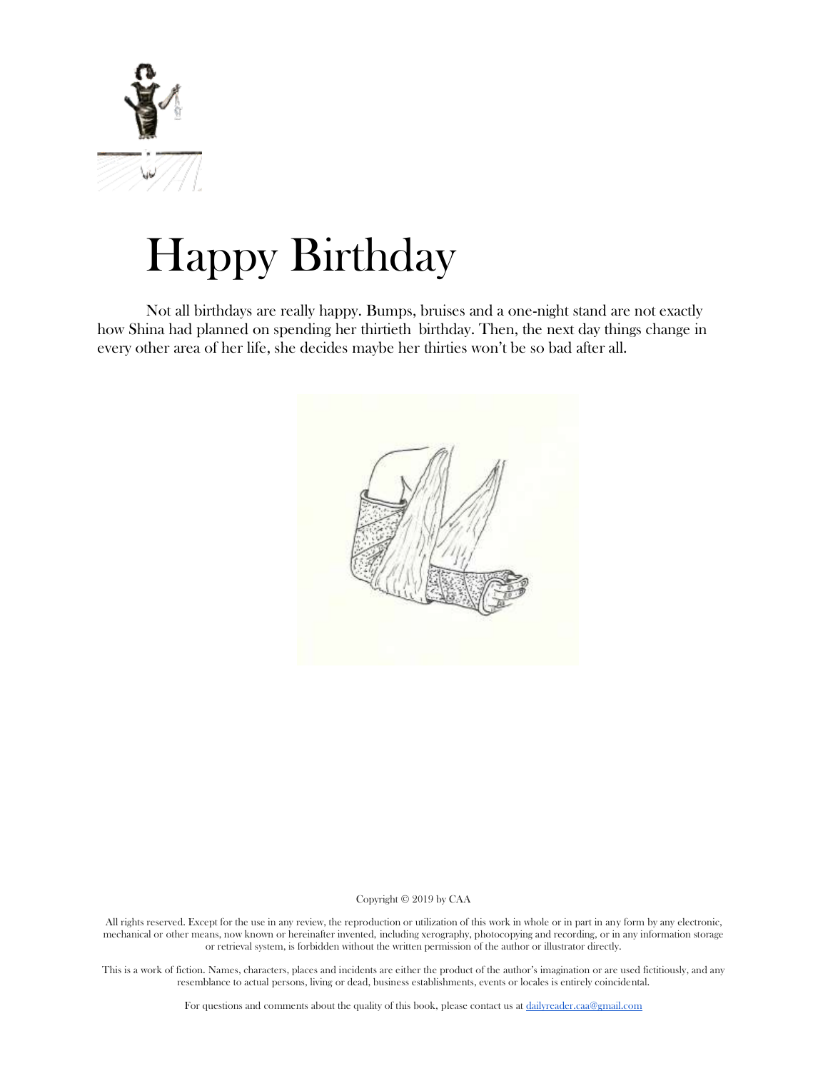

# Happy Birthday

Not all birthdays are really happy. Bumps, bruises and a one-night stand are not exactly how Shina had planned on spending her thirtieth birthday. Then, the next day things change in every other area of her life, she decides maybe her thirties won't be so bad after all.



## Copyright © 2019 by CAA

All rights reserved. Except for the use in any review, the reproduction or utilization of this work in whole or in part in any form by any electronic, mechanical or other means, now known or hereinafter invented, including xerography, photocopying and recording, or in any information storage or retrieval system, is forbidden without the written permission of the author or illustrator directly.

This is a work of fiction. Names, characters, places and incidents are either the product of the author's imagination or are used fictitiously, and any resemblance to actual persons, living or dead, business establishments, events or locales is entirely coincidental.

For questions and comments about the quality of this book, please contact us at [dailyreader.caa@gmail.com](mailto:dailyreader.caa@gmail.com)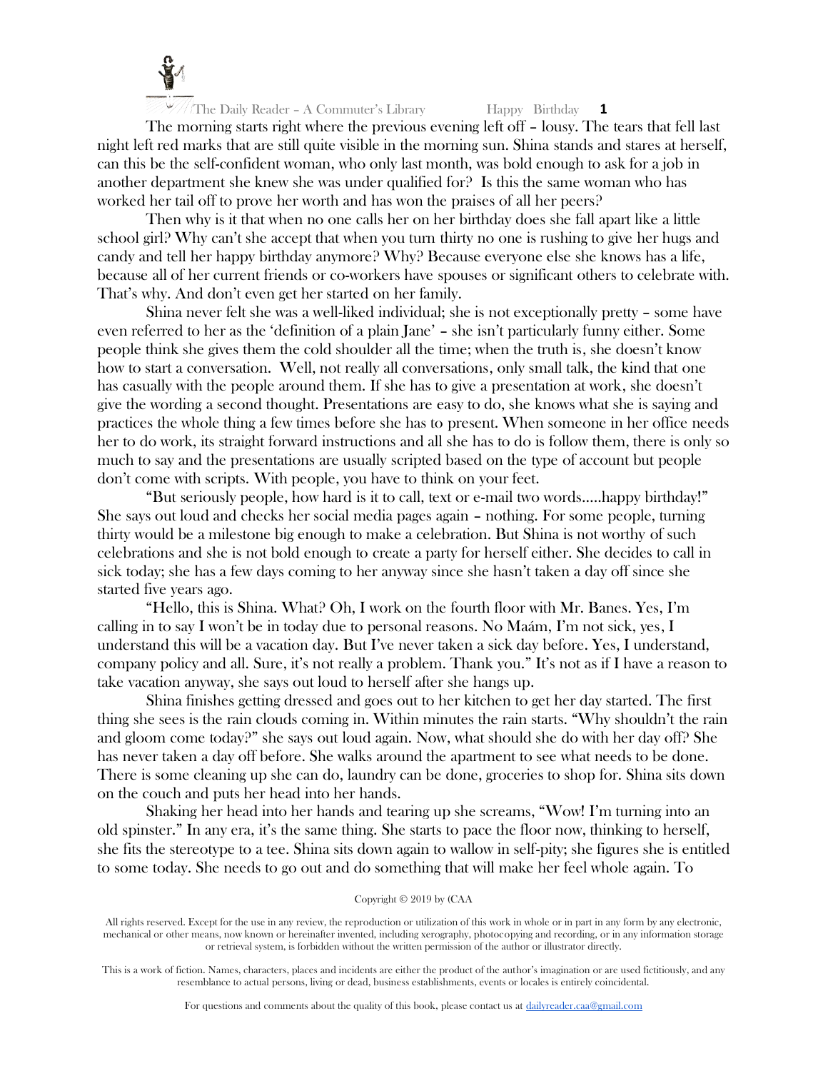

The morning starts right where the previous evening left off – lousy. The tears that fell last night left red marks that are still quite visible in the morning sun. Shina stands and stares at herself, can this be the self-confident woman, who only last month, was bold enough to ask for a job in another department she knew she was under qualified for? Is this the same woman who has worked her tail off to prove her worth and has won the praises of all her peers?

Then why is it that when no one calls her on her birthday does she fall apart like a little school girl? Why can't she accept that when you turn thirty no one is rushing to give her hugs and candy and tell her happy birthday anymore? Why? Because everyone else she knows has a life, because all of her current friends or co-workers have spouses or significant others to celebrate with. That's why. And don't even get her started on her family.

Shina never felt she was a well-liked individual; she is not exceptionally pretty – some have even referred to her as the 'definition of a plain Jane' – she isn't particularly funny either. Some people think she gives them the cold shoulder all the time; when the truth is, she doesn't know how to start a conversation. Well, not really all conversations, only small talk, the kind that one has casually with the people around them. If she has to give a presentation at work, she doesn't give the wording a second thought. Presentations are easy to do, she knows what she is saying and practices the whole thing a few times before she has to present. When someone in her office needs her to do work, its straight forward instructions and all she has to do is follow them, there is only so much to say and the presentations are usually scripted based on the type of account but people don't come with scripts. With people, you have to think on your feet.

"But seriously people, how hard is it to call, text or e-mail two words…..happy birthday!" She says out loud and checks her social media pages again – nothing. For some people, turning thirty would be a milestone big enough to make a celebration. But Shina is not worthy of such celebrations and she is not bold enough to create a party for herself either. She decides to call in sick today; she has a few days coming to her anyway since she hasn't taken a day off since she started five years ago.

"Hello, this is Shina. What? Oh, I work on the fourth floor with Mr. Banes. Yes, I'm calling in to say I won't be in today due to personal reasons. No Maám, I'm not sick, yes, I understand this will be a vacation day. But I've never taken a sick day before. Yes, I understand, company policy and all. Sure, it's not really a problem. Thank you." It's not as if I have a reason to take vacation anyway, she says out loud to herself after she hangs up.

Shina finishes getting dressed and goes out to her kitchen to get her day started. The first thing she sees is the rain clouds coming in. Within minutes the rain starts. "Why shouldn't the rain and gloom come today?" she says out loud again. Now, what should she do with her day off? She has never taken a day off before. She walks around the apartment to see what needs to be done. There is some cleaning up she can do, laundry can be done, groceries to shop for. Shina sits down on the couch and puts her head into her hands.

Shaking her head into her hands and tearing up she screams, "Wow! I'm turning into an old spinster." In any era, it's the same thing. She starts to pace the floor now, thinking to herself, she fits the stereotype to a tee. Shina sits down again to wallow in self-pity; she figures she is entitled to some today. She needs to go out and do something that will make her feel whole again. To

## Copyright © 2019 by (CAA

All rights reserved. Except for the use in any review, the reproduction or utilization of this work in whole or in part in any form by any electronic, mechanical or other means, now known or hereinafter invented, including xerography, photocopying and recording, or in any information storage or retrieval system, is forbidden without the written permission of the author or illustrator directly.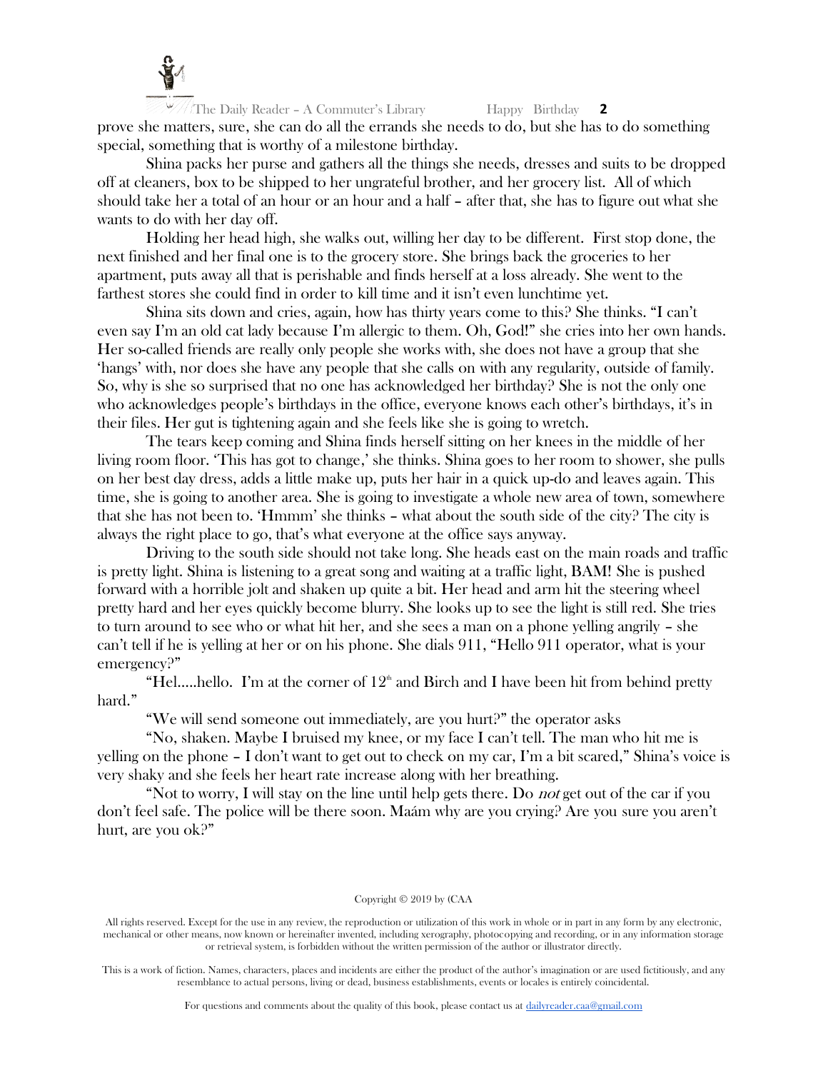

The Daily Reader – A Commuter's Library Happy Birthday **2** prove she matters, sure, she can do all the errands she needs to do, but she has to do something special, something that is worthy of a milestone birthday.

Shina packs her purse and gathers all the things she needs, dresses and suits to be dropped off at cleaners, box to be shipped to her ungrateful brother, and her grocery list. All of which should take her a total of an hour or an hour and a half – after that, she has to figure out what she wants to do with her day off.

Holding her head high, she walks out, willing her day to be different. First stop done, the next finished and her final one is to the grocery store. She brings back the groceries to her apartment, puts away all that is perishable and finds herself at a loss already. She went to the farthest stores she could find in order to kill time and it isn't even lunchtime yet.

Shina sits down and cries, again, how has thirty years come to this? She thinks. "I can't even say I'm an old cat lady because I'm allergic to them. Oh, God!" she cries into her own hands. Her so-called friends are really only people she works with, she does not have a group that she 'hangs' with, nor does she have any people that she calls on with any regularity, outside of family. So, why is she so surprised that no one has acknowledged her birthday? She is not the only one who acknowledges people's birthdays in the office, everyone knows each other's birthdays, it's in their files. Her gut is tightening again and she feels like she is going to wretch.

The tears keep coming and Shina finds herself sitting on her knees in the middle of her living room floor. 'This has got to change,' she thinks. Shina goes to her room to shower, she pulls on her best day dress, adds a little make up, puts her hair in a quick up-do and leaves again. This time, she is going to another area. She is going to investigate a whole new area of town, somewhere that she has not been to. 'Hmmm' she thinks – what about the south side of the city? The city is always the right place to go, that's what everyone at the office says anyway.

Driving to the south side should not take long. She heads east on the main roads and traffic is pretty light. Shina is listening to a great song and waiting at a traffic light, BAM! She is pushed forward with a horrible jolt and shaken up quite a bit. Her head and arm hit the steering wheel pretty hard and her eyes quickly become blurry. She looks up to see the light is still red. She tries to turn around to see who or what hit her, and she sees a man on a phone yelling angrily – she can't tell if he is yelling at her or on his phone. She dials 911, "Hello 911 operator, what is your emergency?"

"Hel.....hello. I'm at the corner of  $12<sup>th</sup>$  and Birch and I have been hit from behind pretty hard."

"We will send someone out immediately, are you hurt?" the operator asks

"No, shaken. Maybe I bruised my knee, or my face I can't tell. The man who hit me is yelling on the phone – I don't want to get out to check on my car, I'm a bit scared," Shina's voice is very shaky and she feels her heart rate increase along with her breathing.

"Not to worry, I will stay on the line until help gets there. Do *not* get out of the car if you don't feel safe. The police will be there soon. Maám why are you crying? Are you sure you aren't hurt, are you ok?"

## Copyright © 2019 by (CAA

All rights reserved. Except for the use in any review, the reproduction or utilization of this work in whole or in part in any form by any electronic, mechanical or other means, now known or hereinafter invented, including xerography, photocopying and recording, or in any information storage or retrieval system, is forbidden without the written permission of the author or illustrator directly.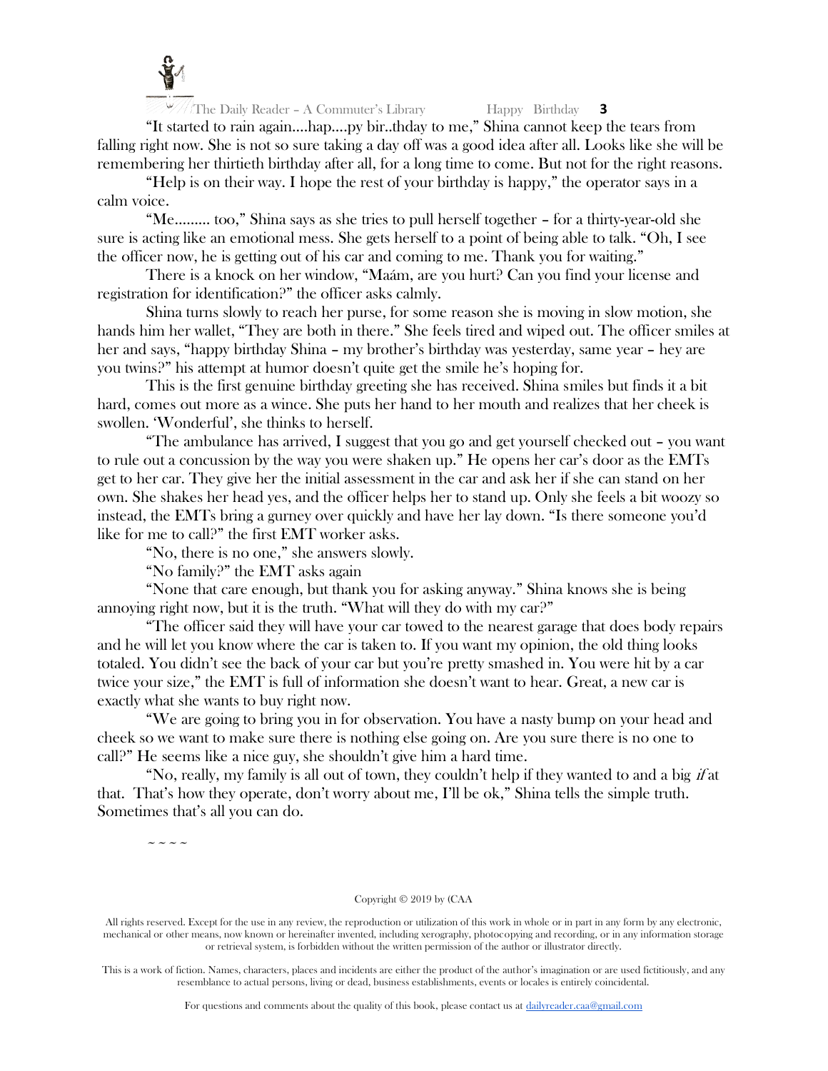

 $\frac{1}{\sqrt{2}}$  The Daily Reader – A Commuter's Library Happy Birthday **3** 

"It started to rain again….hap….py bir..thday to me," Shina cannot keep the tears from falling right now. She is not so sure taking a day off was a good idea after all. Looks like she will be remembering her thirtieth birthday after all, for a long time to come. But not for the right reasons.

"Help is on their way. I hope the rest of your birthday is happy," the operator says in a calm voice.

"Me……… too," Shina says as she tries to pull herself together – for a thirty-year-old she sure is acting like an emotional mess. She gets herself to a point of being able to talk. "Oh, I see the officer now, he is getting out of his car and coming to me. Thank you for waiting."

There is a knock on her window, "Maám, are you hurt? Can you find your license and registration for identification?" the officer asks calmly.

Shina turns slowly to reach her purse, for some reason she is moving in slow motion, she hands him her wallet, "They are both in there." She feels tired and wiped out. The officer smiles at her and says, "happy birthday Shina – my brother's birthday was yesterday, same year – hey are you twins?" his attempt at humor doesn't quite get the smile he's hoping for.

This is the first genuine birthday greeting she has received. Shina smiles but finds it a bit hard, comes out more as a wince. She puts her hand to her mouth and realizes that her cheek is swollen. 'Wonderful', she thinks to herself.

"The ambulance has arrived, I suggest that you go and get yourself checked out – you want to rule out a concussion by the way you were shaken up." He opens her car's door as the EMTs get to her car. They give her the initial assessment in the car and ask her if she can stand on her own. She shakes her head yes, and the officer helps her to stand up. Only she feels a bit woozy so instead, the EMTs bring a gurney over quickly and have her lay down. "Is there someone you'd like for me to call?" the first EMT worker asks.

"No, there is no one," she answers slowly.

"No family?" the EMT asks again

"None that care enough, but thank you for asking anyway." Shina knows she is being annoying right now, but it is the truth. "What will they do with my car?"

"The officer said they will have your car towed to the nearest garage that does body repairs and he will let you know where the car is taken to. If you want my opinion, the old thing looks totaled. You didn't see the back of your car but you're pretty smashed in. You were hit by a car twice your size," the EMT is full of information she doesn't want to hear. Great, a new car is exactly what she wants to buy right now.

"We are going to bring you in for observation. You have a nasty bump on your head and cheek so we want to make sure there is nothing else going on. Are you sure there is no one to call?" He seems like a nice guy, she shouldn't give him a hard time.

"No, really, my family is all out of town, they couldn't help if they wanted to and a big  $if$  at that. That's how they operate, don't worry about me, I'll be ok," Shina tells the simple truth. Sometimes that's all you can do.

 $\sim$   $\sim$   $\sim$   $\sim$ 

#### Copyright © 2019 by (CAA

All rights reserved. Except for the use in any review, the reproduction or utilization of this work in whole or in part in any form by any electronic, mechanical or other means, now known or hereinafter invented, including xerography, photocopying and recording, or in any information storage or retrieval system, is forbidden without the written permission of the author or illustrator directly.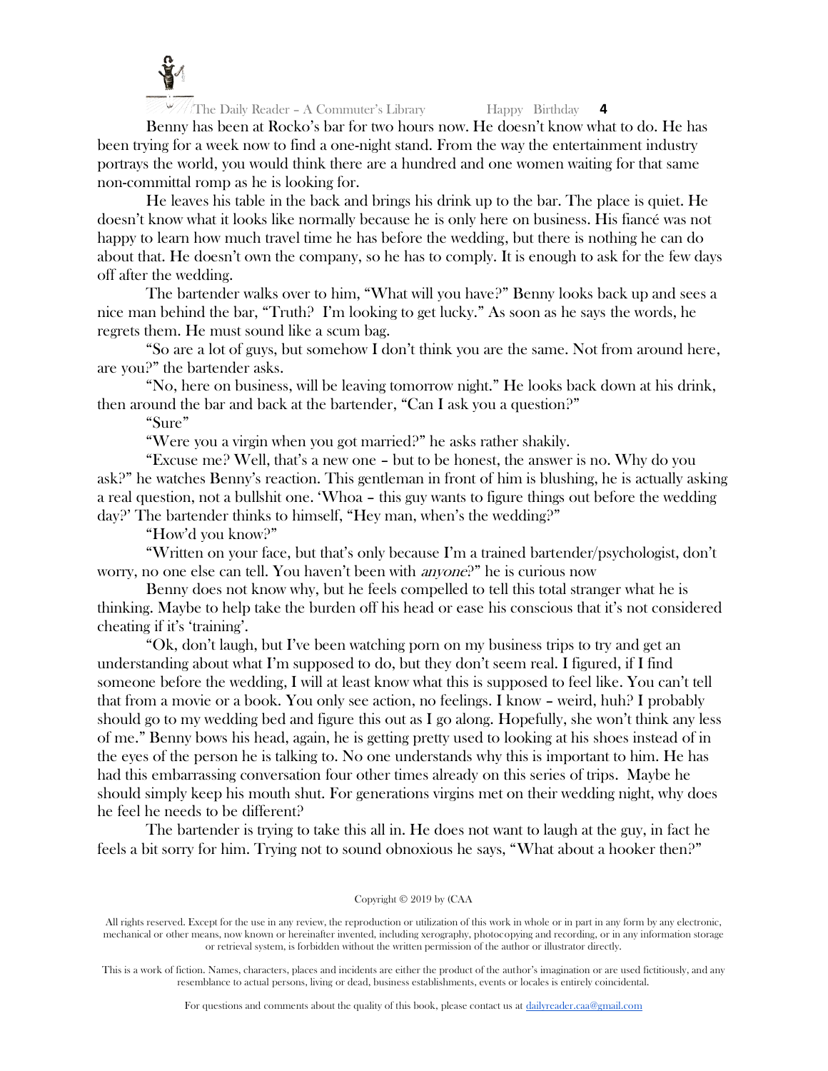

Benny has been at Rocko's bar for two hours now. He doesn't know what to do. He has been trying for a week now to find a one-night stand. From the way the entertainment industry portrays the world, you would think there are a hundred and one women waiting for that same non-committal romp as he is looking for.

He leaves his table in the back and brings his drink up to the bar. The place is quiet. He doesn't know what it looks like normally because he is only here on business. His fiancé was not happy to learn how much travel time he has before the wedding, but there is nothing he can do about that. He doesn't own the company, so he has to comply. It is enough to ask for the few days off after the wedding.

The bartender walks over to him, "What will you have?" Benny looks back up and sees a nice man behind the bar, "Truth? I'm looking to get lucky." As soon as he says the words, he regrets them. He must sound like a scum bag.

"So are a lot of guys, but somehow I don't think you are the same. Not from around here, are you?" the bartender asks.

"No, here on business, will be leaving tomorrow night." He looks back down at his drink, then around the bar and back at the bartender, "Can I ask you a question?"

"Sure"

"Were you a virgin when you got married?" he asks rather shakily.

"Excuse me? Well, that's a new one – but to be honest, the answer is no. Why do you ask?" he watches Benny's reaction. This gentleman in front of him is blushing, he is actually asking a real question, not a bullshit one. 'Whoa – this guy wants to figure things out before the wedding day?' The bartender thinks to himself, "Hey man, when's the wedding?"

"How'd you know?"

"Written on your face, but that's only because I'm a trained bartender/psychologist, don't worry, no one else can tell. You haven't been with *anyone*?" he is curious now

Benny does not know why, but he feels compelled to tell this total stranger what he is thinking. Maybe to help take the burden off his head or ease his conscious that it's not considered cheating if it's 'training'.

"Ok, don't laugh, but I've been watching porn on my business trips to try and get an understanding about what I'm supposed to do, but they don't seem real. I figured, if I find someone before the wedding, I will at least know what this is supposed to feel like. You can't tell that from a movie or a book. You only see action, no feelings. I know – weird, huh? I probably should go to my wedding bed and figure this out as I go along. Hopefully, she won't think any less of me." Benny bows his head, again, he is getting pretty used to looking at his shoes instead of in the eyes of the person he is talking to. No one understands why this is important to him. He has had this embarrassing conversation four other times already on this series of trips. Maybe he should simply keep his mouth shut. For generations virgins met on their wedding night, why does he feel he needs to be different?

The bartender is trying to take this all in. He does not want to laugh at the guy, in fact he feels a bit sorry for him. Trying not to sound obnoxious he says, "What about a hooker then?"

Copyright © 2019 by (CAA

All rights reserved. Except for the use in any review, the reproduction or utilization of this work in whole or in part in any form by any electronic, mechanical or other means, now known or hereinafter invented, including xerography, photocopying and recording, or in any information storage or retrieval system, is forbidden without the written permission of the author or illustrator directly.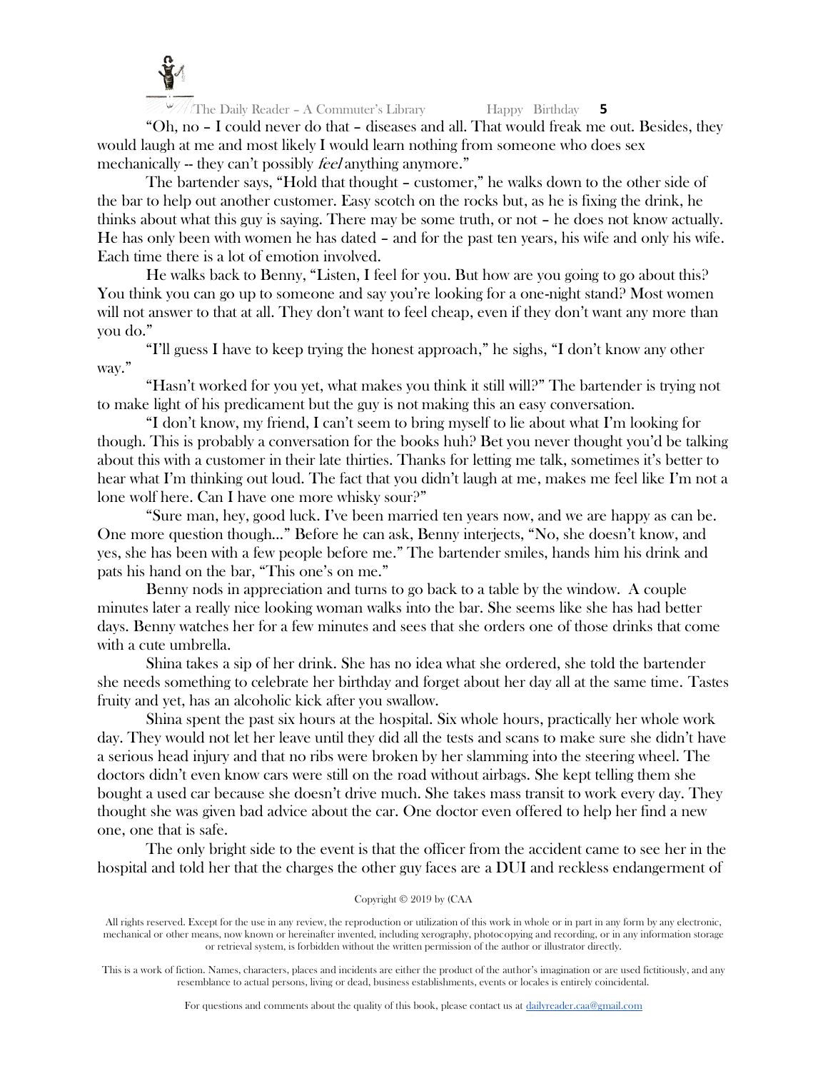

"Oh, no – I could never do that – diseases and all. That would freak me out. Besides, they would laugh at me and most likely I would learn nothing from someone who does sex mechanically -- they can't possibly *feel* anything anymore."

The bartender says, "Hold that thought – customer," he walks down to the other side of the bar to help out another customer. Easy scotch on the rocks but, as he is fixing the drink, he thinks about what this guy is saying. There may be some truth, or not – he does not know actually. He has only been with women he has dated – and for the past ten years, his wife and only his wife. Each time there is a lot of emotion involved.

He walks back to Benny, "Listen, I feel for you. But how are you going to go about this? You think you can go up to someone and say you're looking for a one-night stand? Most women will not answer to that at all. They don't want to feel cheap, even if they don't want any more than you do."

"I'll guess I have to keep trying the honest approach," he sighs, "I don't know any other way."

"Hasn't worked for you yet, what makes you think it still will?" The bartender is trying not to make light of his predicament but the guy is not making this an easy conversation.

"I don't know, my friend, I can't seem to bring myself to lie about what I'm looking for though. This is probably a conversation for the books huh? Bet you never thought you'd be talking about this with a customer in their late thirties. Thanks for letting me talk, sometimes it's better to hear what I'm thinking out loud. The fact that you didn't laugh at me, makes me feel like I'm not a lone wolf here. Can I have one more whisky sour?"

"Sure man, hey, good luck. I've been married ten years now, and we are happy as can be. One more question though…" Before he can ask, Benny interjects, "No, she doesn't know, and yes, she has been with a few people before me." The bartender smiles, hands him his drink and pats his hand on the bar, "This one's on me."

Benny nods in appreciation and turns to go back to a table by the window. A couple minutes later a really nice looking woman walks into the bar. She seems like she has had better days. Benny watches her for a few minutes and sees that she orders one of those drinks that come with a cute umbrella.

Shina takes a sip of her drink. She has no idea what she ordered, she told the bartender she needs something to celebrate her birthday and forget about her day all at the same time. Tastes fruity and yet, has an alcoholic kick after you swallow.

Shina spent the past six hours at the hospital. Six whole hours, practically her whole work day. They would not let her leave until they did all the tests and scans to make sure she didn't have a serious head injury and that no ribs were broken by her slamming into the steering wheel. The doctors didn't even know cars were still on the road without airbags. She kept telling them she bought a used car because she doesn't drive much. She takes mass transit to work every day. They thought she was given bad advice about the car. One doctor even offered to help her find a new one, one that is safe.

The only bright side to the event is that the officer from the accident came to see her in the hospital and told her that the charges the other guy faces are a DUI and reckless endangerment of

## Copyright © 2019 by (CAA

All rights reserved. Except for the use in any review, the reproduction or utilization of this work in whole or in part in any form by any electronic, mechanical or other means, now known or hereinafter invented, including xerography, photocopying and recording, or in any information storage or retrieval system, is forbidden without the written permission of the author or illustrator directly.

This is a work of fiction. Names, characters, places and incidents are either the product of the author's imagination or are used fictitiously, and any resemblance to actual persons, living or dead, business establishments, events or locales is entirely coincidental.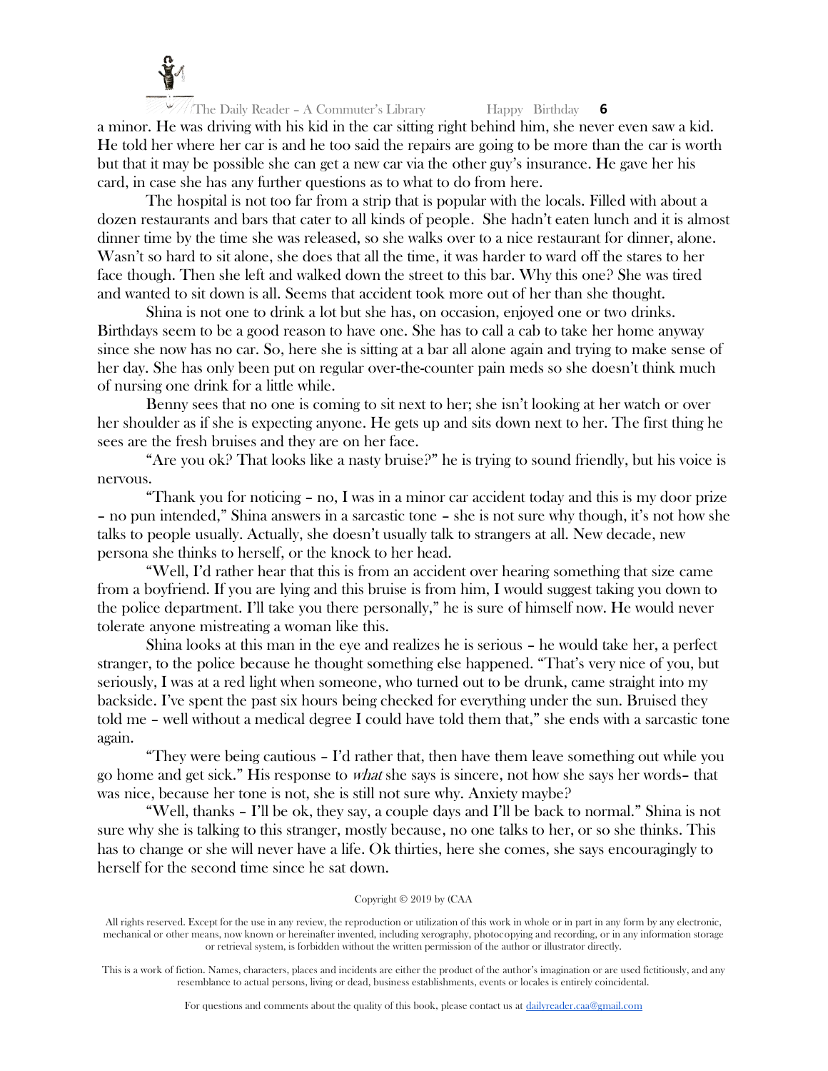

The Daily Reader – A Commuter's Library Happy Birthday **6** a minor. He was driving with his kid in the car sitting right behind him, she never even saw a kid. He told her where her car is and he too said the repairs are going to be more than the car is worth but that it may be possible she can get a new car via the other guy's insurance. He gave her his card, in case she has any further questions as to what to do from here.

The hospital is not too far from a strip that is popular with the locals. Filled with about a dozen restaurants and bars that cater to all kinds of people. She hadn't eaten lunch and it is almost dinner time by the time she was released, so she walks over to a nice restaurant for dinner, alone. Wasn't so hard to sit alone, she does that all the time, it was harder to ward off the stares to her face though. Then she left and walked down the street to this bar. Why this one? She was tired and wanted to sit down is all. Seems that accident took more out of her than she thought.

Shina is not one to drink a lot but she has, on occasion, enjoyed one or two drinks. Birthdays seem to be a good reason to have one. She has to call a cab to take her home anyway since she now has no car. So, here she is sitting at a bar all alone again and trying to make sense of her day. She has only been put on regular over-the-counter pain meds so she doesn't think much of nursing one drink for a little while.

Benny sees that no one is coming to sit next to her; she isn't looking at her watch or over her shoulder as if she is expecting anyone. He gets up and sits down next to her. The first thing he sees are the fresh bruises and they are on her face.

"Are you ok? That looks like a nasty bruise?" he is trying to sound friendly, but his voice is nervous.

"Thank you for noticing – no, I was in a minor car accident today and this is my door prize – no pun intended," Shina answers in a sarcastic tone – she is not sure why though, it's not how she talks to people usually. Actually, she doesn't usually talk to strangers at all. New decade, new persona she thinks to herself, or the knock to her head.

"Well, I'd rather hear that this is from an accident over hearing something that size came from a boyfriend. If you are lying and this bruise is from him, I would suggest taking you down to the police department. I'll take you there personally," he is sure of himself now. He would never tolerate anyone mistreating a woman like this.

Shina looks at this man in the eye and realizes he is serious – he would take her, a perfect stranger, to the police because he thought something else happened. "That's very nice of you, but seriously, I was at a red light when someone, who turned out to be drunk, came straight into my backside. I've spent the past six hours being checked for everything under the sun. Bruised they told me – well without a medical degree I could have told them that," she ends with a sarcastic tone again.

"They were being cautious – I'd rather that, then have them leave something out while you go home and get sick." His response to what she says is sincere, not how she says her words– that was nice, because her tone is not, she is still not sure why. Anxiety maybe?

"Well, thanks – I'll be ok, they say, a couple days and I'll be back to normal." Shina is not sure why she is talking to this stranger, mostly because, no one talks to her, or so she thinks. This has to change or she will never have a life. Ok thirties, here she comes, she says encouragingly to herself for the second time since he sat down.

## Copyright © 2019 by (CAA

All rights reserved. Except for the use in any review, the reproduction or utilization of this work in whole or in part in any form by any electronic, mechanical or other means, now known or hereinafter invented, including xerography, photocopying and recording, or in any information storage or retrieval system, is forbidden without the written permission of the author or illustrator directly.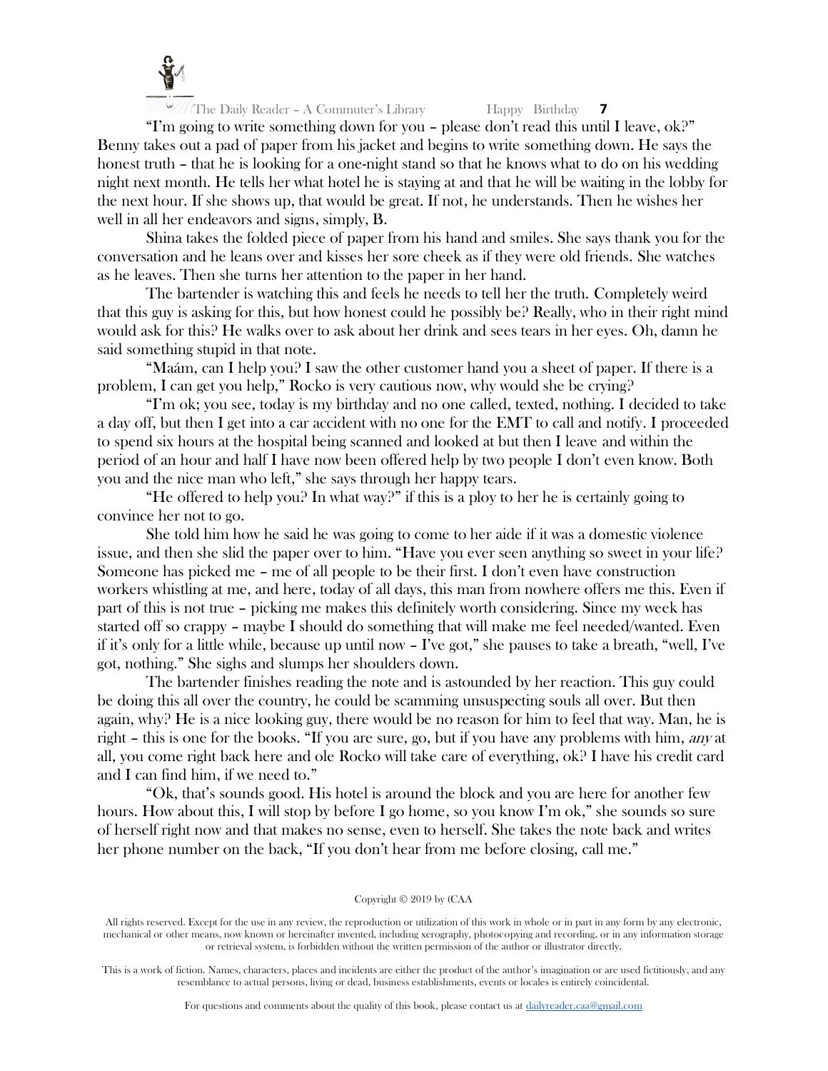

"I'm going to write something down for you – please don't read this until I leave, ok?" Benny takes out a pad of paper from his jacket and begins to write something down. He says the honest truth – that he is looking for a one-night stand so that he knows what to do on his wedding night next month. He tells her what hotel he is staying at and that he will be waiting in the lobby for the next hour. If she shows up, that would be great. If not, he understands. Then he wishes her well in all her endeavors and signs, simply, B.

Shina takes the folded piece of paper from his hand and smiles. She says thank you for the conversation and he leans over and kisses her sore cheek as if they were old friends. She watches as he leaves. Then she turns her attention to the paper in her hand.

The bartender is watching this and feels he needs to tell her the truth. Completely weird that this guy is asking for this, but how honest could he possibly be? Really, who in their right mind would ask for this? He walks over to ask about her drink and sees tears in her eyes. Oh, damn he said something stupid in that note.

"Maám, can I help you? I saw the other customer hand you a sheet of paper. If there is a problem, I can get you help," Rocko is very cautious now, why would she be crying?

"I'm ok; you see, today is my birthday and no one called, texted, nothing. I decided to take a day off, but then I get into a car accident with no one for the EMT to call and notify. I proceeded to spend six hours at the hospital being scanned and looked at but then I leave and within the period of an hour and half I have now been offered help by two people I don't even know. Both you and the nice man who left," she says through her happy tears.

"He offered to help you? In what way?" if this is a ploy to her he is certainly going to convince her not to go.

She told him how he said he was going to come to her aide if it was a domestic violence issue, and then she slid the paper over to him. "Have you ever seen anything so sweet in your life? Someone has picked me – me of all people to be their first. I don't even have construction workers whistling at me, and here, today of all days, this man from nowhere offers me this. Even if part of this is not true – picking me makes this definitely worth considering. Since my week has started off so crappy – maybe I should do something that will make me feel needed/wanted. Even if it's only for a little while, because up until now – I've got," she pauses to take a breath, "well, I've got, nothing." She sighs and slumps her shoulders down.

The bartender finishes reading the note and is astounded by her reaction. This guy could be doing this all over the country, he could be scamming unsuspecting souls all over. But then again, why? He is a nice looking guy, there would be no reason for him to feel that way. Man, he is right – this is one for the books. "If you are sure, go, but if you have any problems with him, any at all, you come right back here and ole Rocko will take care of everything, ok? I have his credit card and I can find him, if we need to."

"Ok, that's sounds good. His hotel is around the block and you are here for another few hours. How about this, I will stop by before I go home, so you know I'm ok," she sounds so sure of herself right now and that makes no sense, even to herself. She takes the note back and writes her phone number on the back, "If you don't hear from me before closing, call me."

## Copyright © 2019 by (CAA

All rights reserved. Except for the use in any review, the reproduction or utilization of this work in whole or in part in any form by any electronic, mechanical or other means, now known or hereinafter invented, including xerography, photocopying and recording, or in any information storage or retrieval system, is forbidden without the written permission of the author or illustrator directly.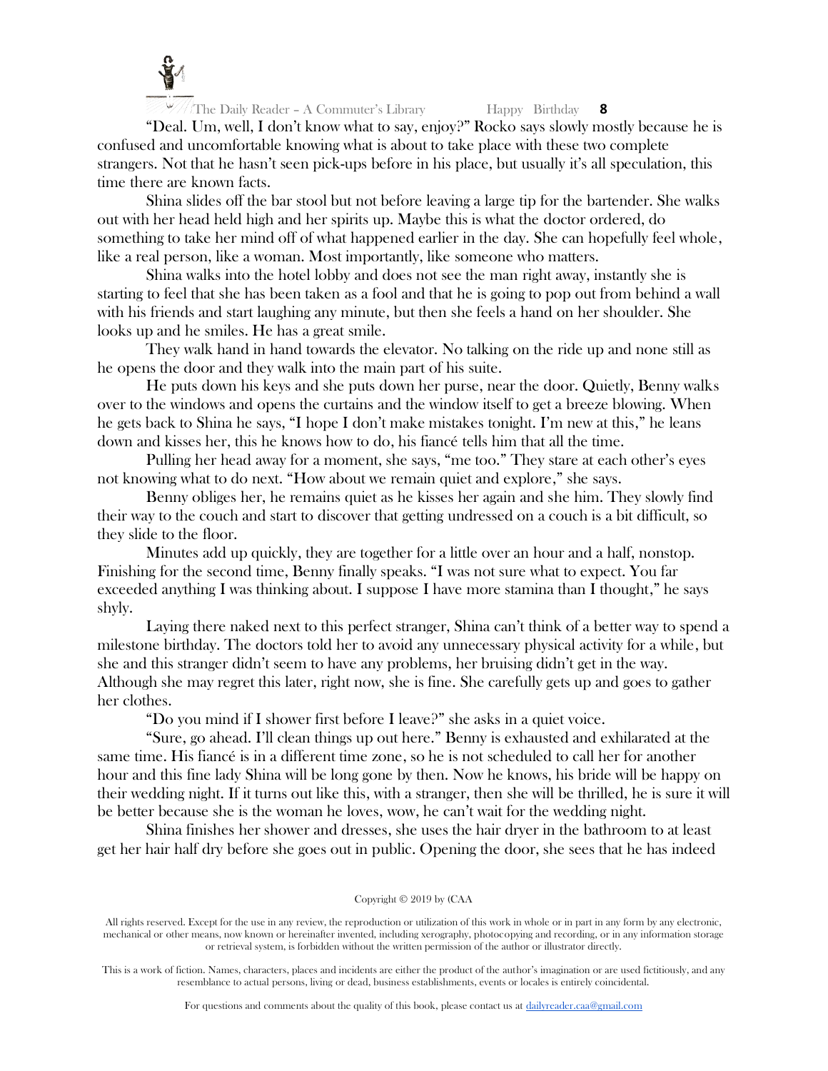

"Deal. Um, well, I don't know what to say, enjoy?" Rocko says slowly mostly because he is confused and uncomfortable knowing what is about to take place with these two complete strangers. Not that he hasn't seen pick-ups before in his place, but usually it's all speculation, this time there are known facts.

Shina slides off the bar stool but not before leaving a large tip for the bartender. She walks out with her head held high and her spirits up. Maybe this is what the doctor ordered, do something to take her mind off of what happened earlier in the day. She can hopefully feel whole, like a real person, like a woman. Most importantly, like someone who matters.

Shina walks into the hotel lobby and does not see the man right away, instantly she is starting to feel that she has been taken as a fool and that he is going to pop out from behind a wall with his friends and start laughing any minute, but then she feels a hand on her shoulder. She looks up and he smiles. He has a great smile.

They walk hand in hand towards the elevator. No talking on the ride up and none still as he opens the door and they walk into the main part of his suite.

He puts down his keys and she puts down her purse, near the door. Quietly, Benny walks over to the windows and opens the curtains and the window itself to get a breeze blowing. When he gets back to Shina he says, "I hope I don't make mistakes tonight. I'm new at this," he leans down and kisses her, this he knows how to do, his fiancé tells him that all the time.

Pulling her head away for a moment, she says, "me too." They stare at each other's eyes not knowing what to do next. "How about we remain quiet and explore," she says.

Benny obliges her, he remains quiet as he kisses her again and she him. They slowly find their way to the couch and start to discover that getting undressed on a couch is a bit difficult, so they slide to the floor.

Minutes add up quickly, they are together for a little over an hour and a half, nonstop. Finishing for the second time, Benny finally speaks. "I was not sure what to expect. You far exceeded anything I was thinking about. I suppose I have more stamina than I thought," he says shyly.

Laying there naked next to this perfect stranger, Shina can't think of a better way to spend a milestone birthday. The doctors told her to avoid any unnecessary physical activity for a while, but she and this stranger didn't seem to have any problems, her bruising didn't get in the way. Although she may regret this later, right now, she is fine. She carefully gets up and goes to gather her clothes.

"Do you mind if I shower first before I leave?" she asks in a quiet voice.

"Sure, go ahead. I'll clean things up out here." Benny is exhausted and exhilarated at the same time. His fiancé is in a different time zone, so he is not scheduled to call her for another hour and this fine lady Shina will be long gone by then. Now he knows, his bride will be happy on their wedding night. If it turns out like this, with a stranger, then she will be thrilled, he is sure it will be better because she is the woman he loves, wow, he can't wait for the wedding night.

Shina finishes her shower and dresses, she uses the hair dryer in the bathroom to at least get her hair half dry before she goes out in public. Opening the door, she sees that he has indeed

Copyright © 2019 by (CAA

All rights reserved. Except for the use in any review, the reproduction or utilization of this work in whole or in part in any form by any electronic, mechanical or other means, now known or hereinafter invented, including xerography, photocopying and recording, or in any information storage or retrieval system, is forbidden without the written permission of the author or illustrator directly.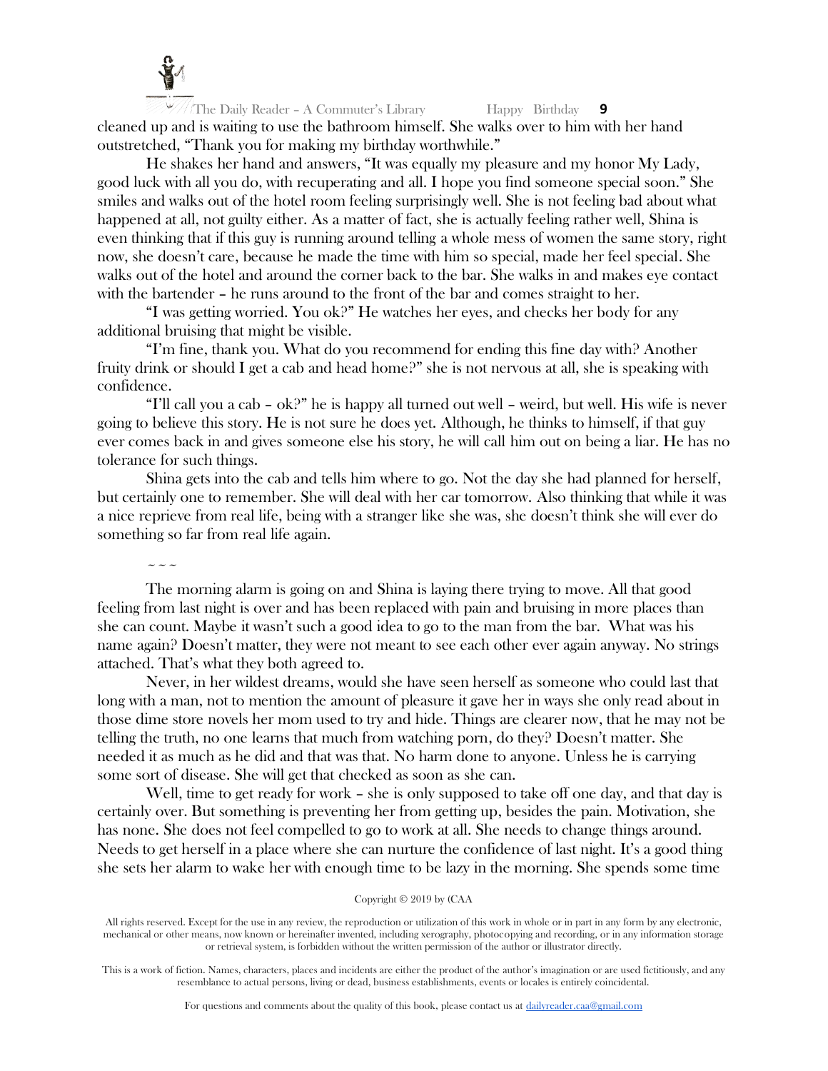

The Daily Reader – A Commuter's Library Happy Birthday **9** cleaned up and is waiting to use the bathroom himself. She walks over to him with her hand outstretched, "Thank you for making my birthday worthwhile."

He shakes her hand and answers, "It was equally my pleasure and my honor My Lady, good luck with all you do, with recuperating and all. I hope you find someone special soon." She smiles and walks out of the hotel room feeling surprisingly well. She is not feeling bad about what happened at all, not guilty either. As a matter of fact, she is actually feeling rather well, Shina is even thinking that if this guy is running around telling a whole mess of women the same story, right now, she doesn't care, because he made the time with him so special, made her feel special. She walks out of the hotel and around the corner back to the bar. She walks in and makes eye contact with the bartender – he runs around to the front of the bar and comes straight to her.

"I was getting worried. You ok?" He watches her eyes, and checks her body for any additional bruising that might be visible.

"I'm fine, thank you. What do you recommend for ending this fine day with? Another fruity drink or should I get a cab and head home?" she is not nervous at all, she is speaking with confidence.

"I'll call you a cab –  $\alpha k$ ?" he is happy all turned out well – weird, but well. His wife is never going to believe this story. He is not sure he does yet. Although, he thinks to himself, if that guy ever comes back in and gives someone else his story, he will call him out on being a liar. He has no tolerance for such things.

Shina gets into the cab and tells him where to go. Not the day she had planned for herself, but certainly one to remember. She will deal with her car tomorrow. Also thinking that while it was a nice reprieve from real life, being with a stranger like she was, she doesn't think she will ever do something so far from real life again.

 $\sim\sim\sim$ 

The morning alarm is going on and Shina is laying there trying to move. All that good feeling from last night is over and has been replaced with pain and bruising in more places than she can count. Maybe it wasn't such a good idea to go to the man from the bar. What was his name again? Doesn't matter, they were not meant to see each other ever again anyway. No strings attached. That's what they both agreed to.

Never, in her wildest dreams, would she have seen herself as someone who could last that long with a man, not to mention the amount of pleasure it gave her in ways she only read about in those dime store novels her mom used to try and hide. Things are clearer now, that he may not be telling the truth, no one learns that much from watching porn, do they? Doesn't matter. She needed it as much as he did and that was that. No harm done to anyone. Unless he is carrying some sort of disease. She will get that checked as soon as she can.

Well, time to get ready for work – she is only supposed to take off one day, and that day is certainly over. But something is preventing her from getting up, besides the pain. Motivation, she has none. She does not feel compelled to go to work at all. She needs to change things around. Needs to get herself in a place where she can nurture the confidence of last night. It's a good thing she sets her alarm to wake her with enough time to be lazy in the morning. She spends some time

## Copyright © 2019 by (CAA

All rights reserved. Except for the use in any review, the reproduction or utilization of this work in whole or in part in any form by any electronic, mechanical or other means, now known or hereinafter invented, including xerography, photocopying and recording, or in any information storage or retrieval system, is forbidden without the written permission of the author or illustrator directly.

This is a work of fiction. Names, characters, places and incidents are either the product of the author's imagination or are used fictitiously, and any resemblance to actual persons, living or dead, business establishments, events or locales is entirely coincidental.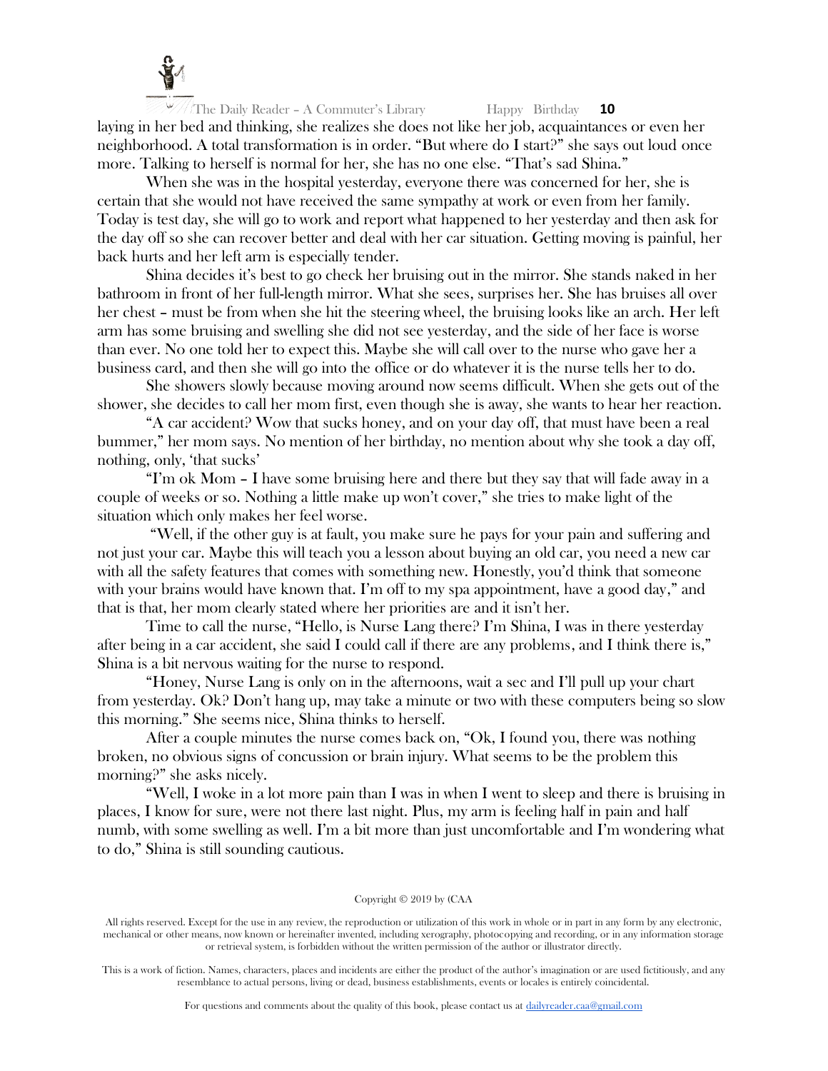

The Daily Reader – A Commuter's Library Happy Birthday **10** laying in her bed and thinking, she realizes she does not like her job, acquaintances or even her neighborhood. A total transformation is in order. "But where do I start?" she says out loud once more. Talking to herself is normal for her, she has no one else. "That's sad Shina."

When she was in the hospital yesterday, everyone there was concerned for her, she is certain that she would not have received the same sympathy at work or even from her family. Today is test day, she will go to work and report what happened to her yesterday and then ask for the day off so she can recover better and deal with her car situation. Getting moving is painful, her back hurts and her left arm is especially tender.

Shina decides it's best to go check her bruising out in the mirror. She stands naked in her bathroom in front of her full-length mirror. What she sees, surprises her. She has bruises all over her chest – must be from when she hit the steering wheel, the bruising looks like an arch. Her left arm has some bruising and swelling she did not see yesterday, and the side of her face is worse than ever. No one told her to expect this. Maybe she will call over to the nurse who gave her a business card, and then she will go into the office or do whatever it is the nurse tells her to do.

She showers slowly because moving around now seems difficult. When she gets out of the shower, she decides to call her mom first, even though she is away, she wants to hear her reaction.

"A car accident? Wow that sucks honey, and on your day off, that must have been a real bummer," her mom says. No mention of her birthday, no mention about why she took a day off, nothing, only, 'that sucks'

"I'm ok Mom – I have some bruising here and there but they say that will fade away in a couple of weeks or so. Nothing a little make up won't cover," she tries to make light of the situation which only makes her feel worse.

"Well, if the other guy is at fault, you make sure he pays for your pain and suffering and not just your car. Maybe this will teach you a lesson about buying an old car, you need a new car with all the safety features that comes with something new. Honestly, you'd think that someone with your brains would have known that. I'm off to my spa appointment, have a good day," and that is that, her mom clearly stated where her priorities are and it isn't her.

Time to call the nurse, "Hello, is Nurse Lang there? I'm Shina, I was in there yesterday after being in a car accident, she said I could call if there are any problems, and I think there is," Shina is a bit nervous waiting for the nurse to respond.

"Honey, Nurse Lang is only on in the afternoons, wait a sec and I'll pull up your chart from yesterday. Ok? Don't hang up, may take a minute or two with these computers being so slow this morning." She seems nice, Shina thinks to herself.

After a couple minutes the nurse comes back on, "Ok, I found you, there was nothing broken, no obvious signs of concussion or brain injury. What seems to be the problem this morning?" she asks nicely.

"Well, I woke in a lot more pain than I was in when I went to sleep and there is bruising in places, I know for sure, were not there last night. Plus, my arm is feeling half in pain and half numb, with some swelling as well. I'm a bit more than just uncomfortable and I'm wondering what to do," Shina is still sounding cautious.

# Copyright © 2019 by (CAA

All rights reserved. Except for the use in any review, the reproduction or utilization of this work in whole or in part in any form by any electronic, mechanical or other means, now known or hereinafter invented, including xerography, photocopying and recording, or in any information storage or retrieval system, is forbidden without the written permission of the author or illustrator directly.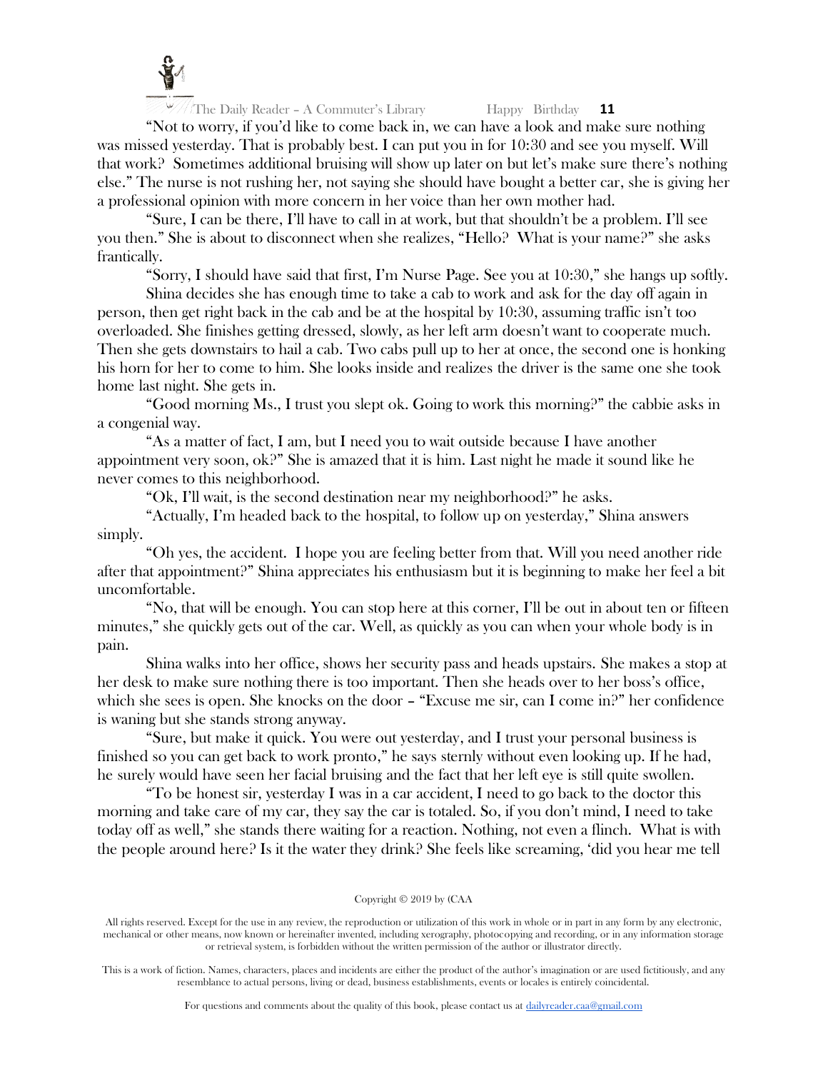

"Not to worry, if you'd like to come back in, we can have a look and make sure nothing was missed yesterday. That is probably best. I can put you in for 10:30 and see you myself. Will that work? Sometimes additional bruising will show up later on but let's make sure there's nothing else." The nurse is not rushing her, not saying she should have bought a better car, she is giving her a professional opinion with more concern in her voice than her own mother had.

"Sure, I can be there, I'll have to call in at work, but that shouldn't be a problem. I'll see you then." She is about to disconnect when she realizes, "Hello? What is your name?" she asks frantically.

"Sorry, I should have said that first, I'm Nurse Page. See you at 10:30," she hangs up softly.

Shina decides she has enough time to take a cab to work and ask for the day off again in person, then get right back in the cab and be at the hospital by 10:30, assuming traffic isn't too overloaded. She finishes getting dressed, slowly, as her left arm doesn't want to cooperate much. Then she gets downstairs to hail a cab. Two cabs pull up to her at once, the second one is honking his horn for her to come to him. She looks inside and realizes the driver is the same one she took home last night. She gets in.

"Good morning Ms., I trust you slept ok. Going to work this morning?" the cabbie asks in a congenial way.

"As a matter of fact, I am, but I need you to wait outside because I have another appointment very soon, ok?" She is amazed that it is him. Last night he made it sound like he never comes to this neighborhood.

"Ok, I'll wait, is the second destination near my neighborhood?" he asks.

"Actually, I'm headed back to the hospital, to follow up on yesterday," Shina answers simply.

"Oh yes, the accident. I hope you are feeling better from that. Will you need another ride after that appointment?" Shina appreciates his enthusiasm but it is beginning to make her feel a bit uncomfortable.

"No, that will be enough. You can stop here at this corner, I'll be out in about ten or fifteen minutes," she quickly gets out of the car. Well, as quickly as you can when your whole body is in pain.

Shina walks into her office, shows her security pass and heads upstairs. She makes a stop at her desk to make sure nothing there is too important. Then she heads over to her boss's office, which she sees is open. She knocks on the door – "Excuse me sir, can I come in?" her confidence is waning but she stands strong anyway.

"Sure, but make it quick. You were out yesterday, and I trust your personal business is finished so you can get back to work pronto," he says sternly without even looking up. If he had, he surely would have seen her facial bruising and the fact that her left eye is still quite swollen.

"To be honest sir, yesterday I was in a car accident, I need to go back to the doctor this morning and take care of my car, they say the car is totaled. So, if you don't mind, I need to take today off as well," she stands there waiting for a reaction. Nothing, not even a flinch. What is with the people around here? Is it the water they drink? She feels like screaming, 'did you hear me tell

## Copyright © 2019 by (CAA

All rights reserved. Except for the use in any review, the reproduction or utilization of this work in whole or in part in any form by any electronic, mechanical or other means, now known or hereinafter invented, including xerography, photocopying and recording, or in any information storage or retrieval system, is forbidden without the written permission of the author or illustrator directly.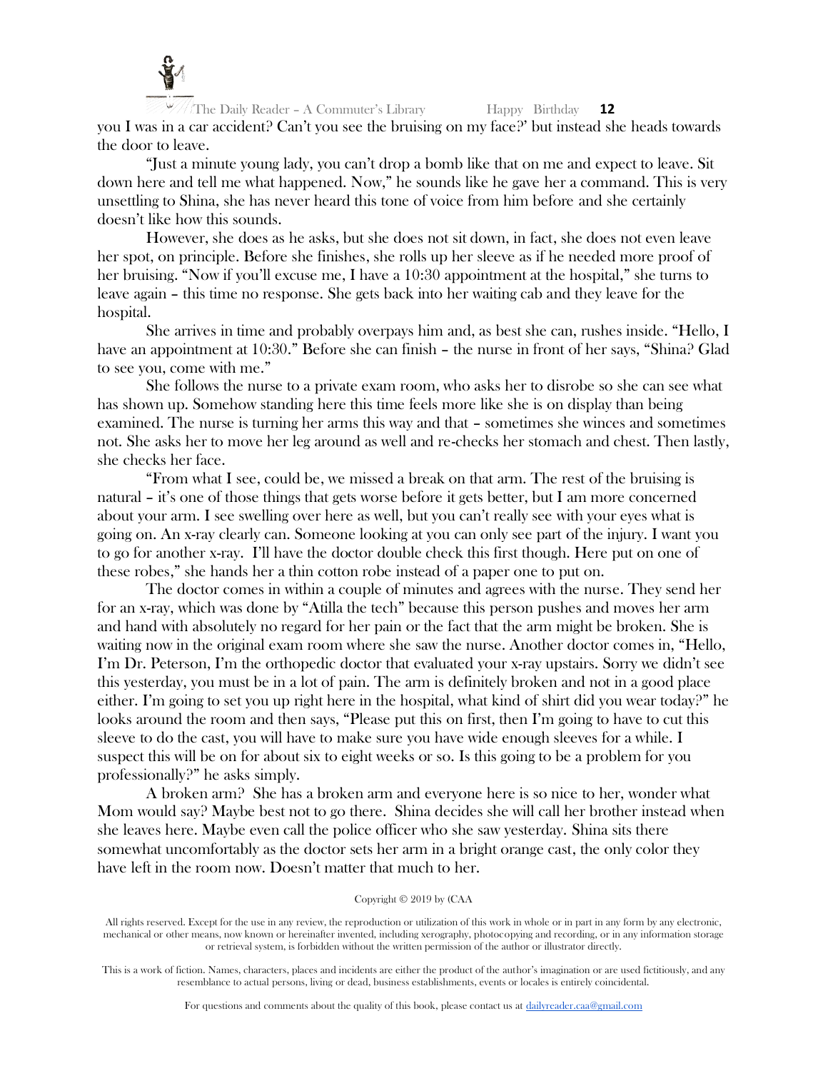

The Daily Reader – A Commuter's Library Happy Birthday **12** you I was in a car accident? Can't you see the bruising on my face?' but instead she heads towards the door to leave.

"Just a minute young lady, you can't drop a bomb like that on me and expect to leave. Sit down here and tell me what happened. Now," he sounds like he gave her a command. This is very unsettling to Shina, she has never heard this tone of voice from him before and she certainly doesn't like how this sounds.

However, she does as he asks, but she does not sit down, in fact, she does not even leave her spot, on principle. Before she finishes, she rolls up her sleeve as if he needed more proof of her bruising. "Now if you'll excuse me, I have a 10:30 appointment at the hospital," she turns to leave again – this time no response. She gets back into her waiting cab and they leave for the hospital.

She arrives in time and probably overpays him and, as best she can, rushes inside. "Hello, I have an appointment at 10:30." Before she can finish – the nurse in front of her says, "Shina? Glad to see you, come with me."

She follows the nurse to a private exam room, who asks her to disrobe so she can see what has shown up. Somehow standing here this time feels more like she is on display than being examined. The nurse is turning her arms this way and that – sometimes she winces and sometimes not. She asks her to move her leg around as well and re-checks her stomach and chest. Then lastly, she checks her face.

"From what I see, could be, we missed a break on that arm. The rest of the bruising is natural – it's one of those things that gets worse before it gets better, but I am more concerned about your arm. I see swelling over here as well, but you can't really see with your eyes what is going on. An x-ray clearly can. Someone looking at you can only see part of the injury. I want you to go for another x-ray. I'll have the doctor double check this first though. Here put on one of these robes," she hands her a thin cotton robe instead of a paper one to put on.

The doctor comes in within a couple of minutes and agrees with the nurse. They send her for an x-ray, which was done by "Atilla the tech" because this person pushes and moves her arm and hand with absolutely no regard for her pain or the fact that the arm might be broken. She is waiting now in the original exam room where she saw the nurse. Another doctor comes in, "Hello, I'm Dr. Peterson, I'm the orthopedic doctor that evaluated your x-ray upstairs. Sorry we didn't see this yesterday, you must be in a lot of pain. The arm is definitely broken and not in a good place either. I'm going to set you up right here in the hospital, what kind of shirt did you wear today?" he looks around the room and then says, "Please put this on first, then I'm going to have to cut this sleeve to do the cast, you will have to make sure you have wide enough sleeves for a while. I suspect this will be on for about six to eight weeks or so. Is this going to be a problem for you professionally?" he asks simply.

A broken arm? She has a broken arm and everyone here is so nice to her, wonder what Mom would say? Maybe best not to go there. Shina decides she will call her brother instead when she leaves here. Maybe even call the police officer who she saw yesterday. Shina sits there somewhat uncomfortably as the doctor sets her arm in a bright orange cast, the only color they have left in the room now. Doesn't matter that much to her.

## Copyright © 2019 by (CAA

All rights reserved. Except for the use in any review, the reproduction or utilization of this work in whole or in part in any form by any electronic, mechanical or other means, now known or hereinafter invented, including xerography, photocopying and recording, or in any information storage or retrieval system, is forbidden without the written permission of the author or illustrator directly.

This is a work of fiction. Names, characters, places and incidents are either the product of the author's imagination or are used fictitiously, and any resemblance to actual persons, living or dead, business establishments, events or locales is entirely coincidental.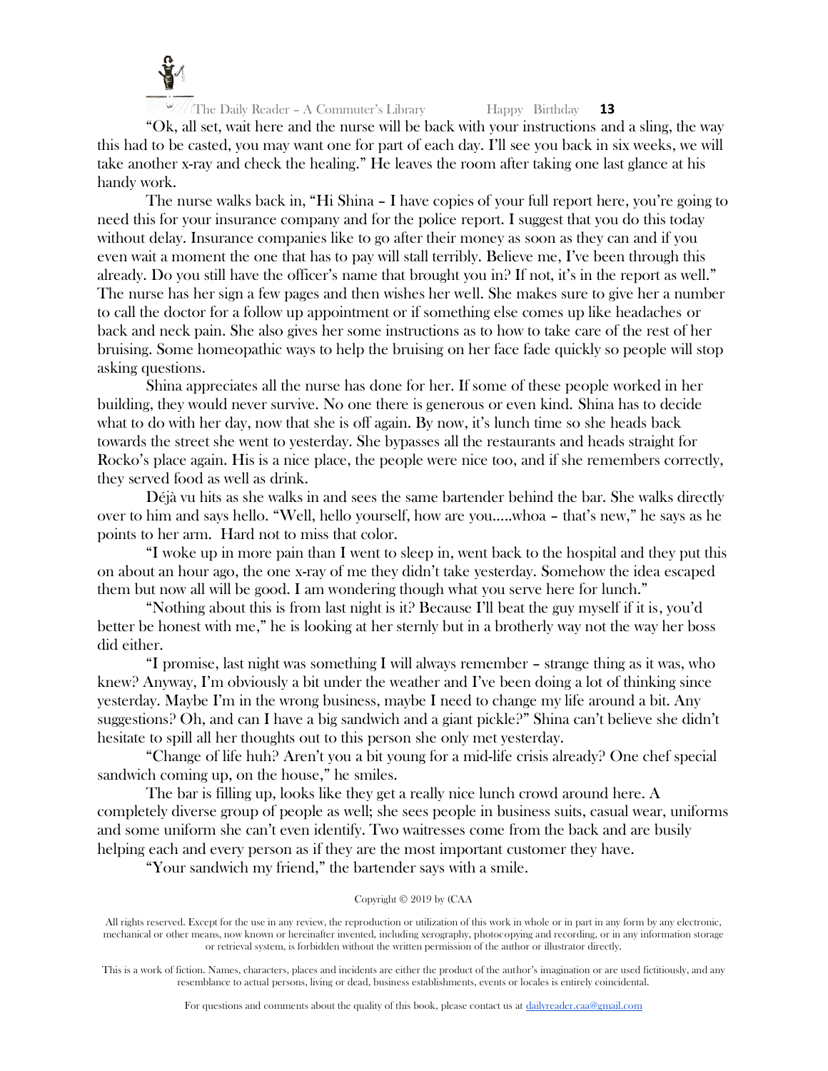

"Ok, all set, wait here and the nurse will be back with your instructions and a sling, the way this had to be casted, you may want one for part of each day. I'll see you back in six weeks, we will take another x-ray and check the healing." He leaves the room after taking one last glance at his handy work.

The nurse walks back in, "Hi Shina – I have copies of your full report here, you're going to need this for your insurance company and for the police report. I suggest that you do this today without delay. Insurance companies like to go after their money as soon as they can and if you even wait a moment the one that has to pay will stall terribly. Believe me, I've been through this already. Do you still have the officer's name that brought you in? If not, it's in the report as well." The nurse has her sign a few pages and then wishes her well. She makes sure to give her a number to call the doctor for a follow up appointment or if something else comes up like headaches or back and neck pain. She also gives her some instructions as to how to take care of the rest of her bruising. Some homeopathic ways to help the bruising on her face fade quickly so people will stop asking questions.

Shina appreciates all the nurse has done for her. If some of these people worked in her building, they would never survive. No one there is generous or even kind. Shina has to decide what to do with her day, now that she is off again. By now, it's lunch time so she heads back towards the street she went to yesterday. She bypasses all the restaurants and heads straight for Rocko's place again. His is a nice place, the people were nice too, and if she remembers correctly, they served food as well as drink.

Déjà vu hits as she walks in and sees the same bartender behind the bar. She walks directly over to him and says hello. "Well, hello yourself, how are you…..whoa – that's new," he says as he points to her arm. Hard not to miss that color.

"I woke up in more pain than I went to sleep in, went back to the hospital and they put this on about an hour ago, the one x-ray of me they didn't take yesterday. Somehow the idea escaped them but now all will be good. I am wondering though what you serve here for lunch."

"Nothing about this is from last night is it? Because I'll beat the guy myself if it is, you'd better be honest with me," he is looking at her sternly but in a brotherly way not the way her boss did either.

"I promise, last night was something I will always remember – strange thing as it was, who knew? Anyway, I'm obviously a bit under the weather and I've been doing a lot of thinking since yesterday. Maybe I'm in the wrong business, maybe I need to change my life around a bit. Any suggestions? Oh, and can I have a big sandwich and a giant pickle?" Shina can't believe she didn't hesitate to spill all her thoughts out to this person she only met yesterday.

"Change of life huh? Aren't you a bit young for a mid-life crisis already? One chef special sandwich coming up, on the house," he smiles.

The bar is filling up, looks like they get a really nice lunch crowd around here. A completely diverse group of people as well; she sees people in business suits, casual wear, uniforms and some uniform she can't even identify. Two waitresses come from the back and are busily helping each and every person as if they are the most important customer they have.

"Your sandwich my friend," the bartender says with a smile.

## Copyright © 2019 by (CAA

All rights reserved. Except for the use in any review, the reproduction or utilization of this work in whole or in part in any form by any electronic, mechanical or other means, now known or hereinafter invented, including xerography, photocopying and recording, or in any information storage or retrieval system, is forbidden without the written permission of the author or illustrator directly.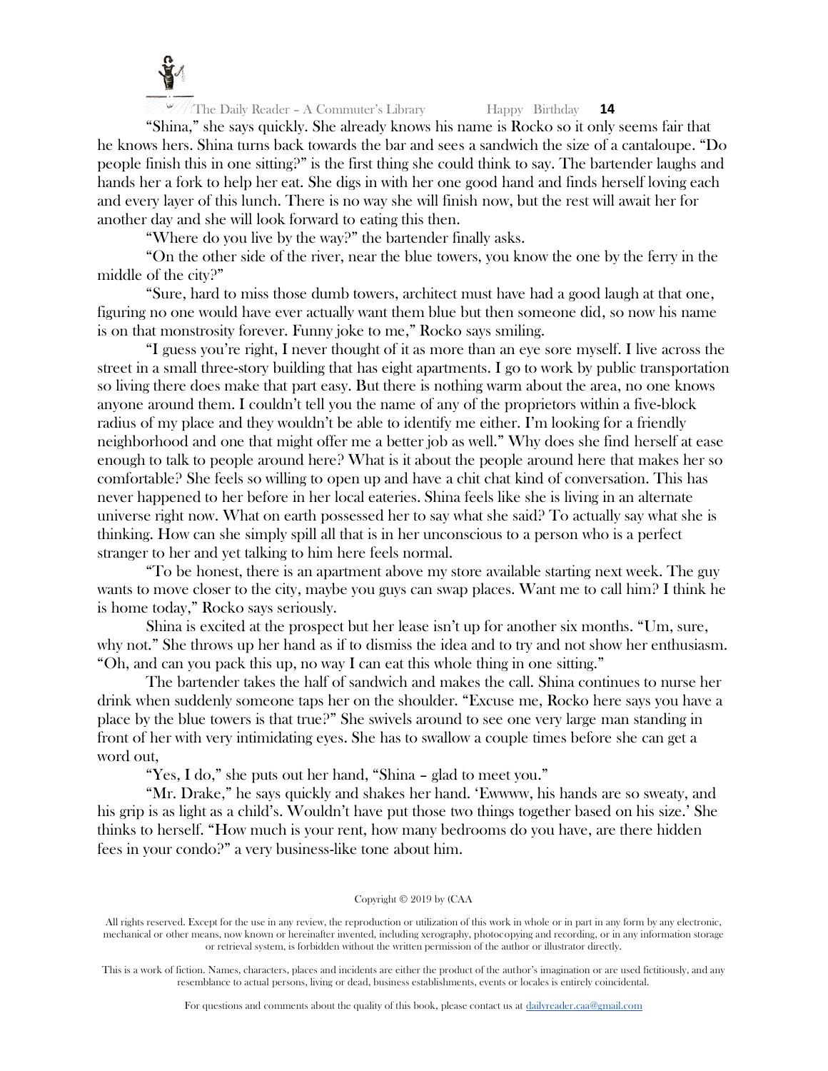

"Shina," she says quickly. She already knows his name is Rocko so it only seems fair that he knows hers. Shina turns back towards the bar and sees a sandwich the size of a cantaloupe. "Do people finish this in one sitting?" is the first thing she could think to say. The bartender laughs and hands her a fork to help her eat. She digs in with her one good hand and finds herself loving each and every layer of this lunch. There is no way she will finish now, but the rest will await her for another day and she will look forward to eating this then.

"Where do you live by the way?" the bartender finally asks.

"On the other side of the river, near the blue towers, you know the one by the ferry in the middle of the city?"

"Sure, hard to miss those dumb towers, architect must have had a good laugh at that one, figuring no one would have ever actually want them blue but then someone did, so now his name is on that monstrosity forever. Funny joke to me," Rocko says smiling.

"I guess you're right, I never thought of it as more than an eye sore myself. I live across the street in a small three-story building that has eight apartments. I go to work by public transportation so living there does make that part easy. But there is nothing warm about the area, no one knows anyone around them. I couldn't tell you the name of any of the proprietors within a five-block radius of my place and they wouldn't be able to identify me either. I'm looking for a friendly neighborhood and one that might offer me a better job as well." Why does she find herself at ease enough to talk to people around here? What is it about the people around here that makes her so comfortable? She feels so willing to open up and have a chit chat kind of conversation. This has never happened to her before in her local eateries. Shina feels like she is living in an alternate universe right now. What on earth possessed her to say what she said? To actually say what she is thinking. How can she simply spill all that is in her unconscious to a person who is a perfect stranger to her and yet talking to him here feels normal.

"To be honest, there is an apartment above my store available starting next week. The guy wants to move closer to the city, maybe you guys can swap places. Want me to call him? I think he is home today," Rocko says seriously.

Shina is excited at the prospect but her lease isn't up for another six months. "Um, sure, why not." She throws up her hand as if to dismiss the idea and to try and not show her enthusiasm. "Oh, and can you pack this up, no way I can eat this whole thing in one sitting."

The bartender takes the half of sandwich and makes the call. Shina continues to nurse her drink when suddenly someone taps her on the shoulder. "Excuse me, Rocko here says you have a place by the blue towers is that true?" She swivels around to see one very large man standing in front of her with very intimidating eyes. She has to swallow a couple times before she can get a word out,

"Yes, I do," she puts out her hand, "Shina – glad to meet you."

"Mr. Drake," he says quickly and shakes her hand. 'Ewwww, his hands are so sweaty, and his grip is as light as a child's. Wouldn't have put those two things together based on his size.' She thinks to herself. "How much is your rent, how many bedrooms do you have, are there hidden fees in your condo?" a very business-like tone about him.

## Copyright © 2019 by (CAA

All rights reserved. Except for the use in any review, the reproduction or utilization of this work in whole or in part in any form by any electronic, mechanical or other means, now known or hereinafter invented, including xerography, photocopying and recording, or in any information storage or retrieval system, is forbidden without the written permission of the author or illustrator directly.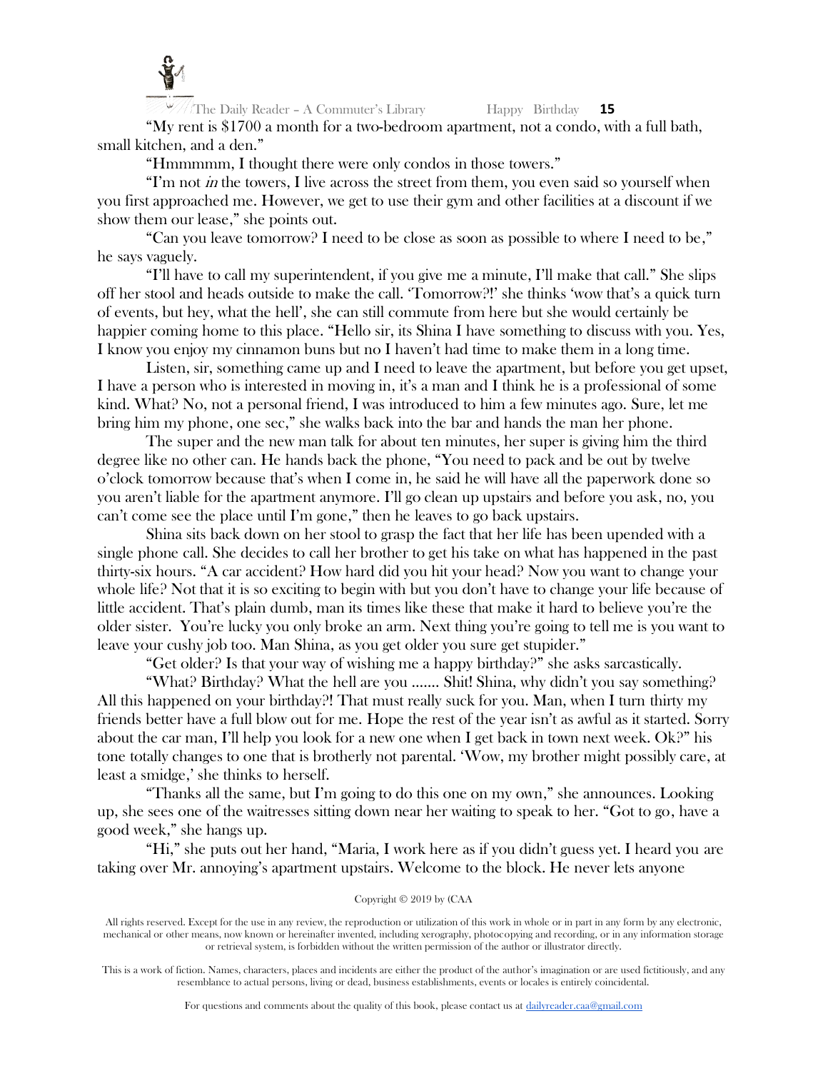

"My rent is \$1700 a month for a two-bedroom apartment, not a condo, with a full bath, small kitchen, and a den."

"Hmmmmm, I thought there were only condos in those towers."

"I'm not  $\dot{m}$  the towers, I live across the street from them, you even said so yourself when you first approached me. However, we get to use their gym and other facilities at a discount if we show them our lease," she points out.

"Can you leave tomorrow? I need to be close as soon as possible to where I need to be," he says vaguely.

"I'll have to call my superintendent, if you give me a minute, I'll make that call." She slips off her stool and heads outside to make the call. 'Tomorrow?!' she thinks 'wow that's a quick turn of events, but hey, what the hell', she can still commute from here but she would certainly be happier coming home to this place. "Hello sir, its Shina I have something to discuss with you. Yes, I know you enjoy my cinnamon buns but no I haven't had time to make them in a long time.

Listen, sir, something came up and I need to leave the apartment, but before you get upset, I have a person who is interested in moving in, it's a man and I think he is a professional of some kind. What? No, not a personal friend, I was introduced to him a few minutes ago. Sure, let me bring him my phone, one sec," she walks back into the bar and hands the man her phone.

The super and the new man talk for about ten minutes, her super is giving him the third degree like no other can. He hands back the phone, "You need to pack and be out by twelve o'clock tomorrow because that's when I come in, he said he will have all the paperwork done so you aren't liable for the apartment anymore. I'll go clean up upstairs and before you ask, no, you can't come see the place until I'm gone," then he leaves to go back upstairs.

Shina sits back down on her stool to grasp the fact that her life has been upended with a single phone call. She decides to call her brother to get his take on what has happened in the past thirty-six hours. "A car accident? How hard did you hit your head? Now you want to change your whole life? Not that it is so exciting to begin with but you don't have to change your life because of little accident. That's plain dumb, man its times like these that make it hard to believe you're the older sister. You're lucky you only broke an arm. Next thing you're going to tell me is you want to leave your cushy job too. Man Shina, as you get older you sure get stupider."

"Get older? Is that your way of wishing me a happy birthday?" she asks sarcastically.

"What? Birthday? What the hell are you ……. Shit! Shina, why didn't you say something? All this happened on your birthday?! That must really suck for you. Man, when I turn thirty my friends better have a full blow out for me. Hope the rest of the year isn't as awful as it started. Sorry about the car man, I'll help you look for a new one when I get back in town next week. Ok?" his tone totally changes to one that is brotherly not parental. 'Wow, my brother might possibly care, at least a smidge,' she thinks to herself.

"Thanks all the same, but I'm going to do this one on my own," she announces. Looking up, she sees one of the waitresses sitting down near her waiting to speak to her. "Got to go, have a good week," she hangs up.

"Hi," she puts out her hand, "Maria, I work here as if you didn't guess yet. I heard you are taking over Mr. annoying's apartment upstairs. Welcome to the block. He never lets anyone

# Copyright © 2019 by (CAA

All rights reserved. Except for the use in any review, the reproduction or utilization of this work in whole or in part in any form by any electronic, mechanical or other means, now known or hereinafter invented, including xerography, photocopying and recording, or in any information storage or retrieval system, is forbidden without the written permission of the author or illustrator directly.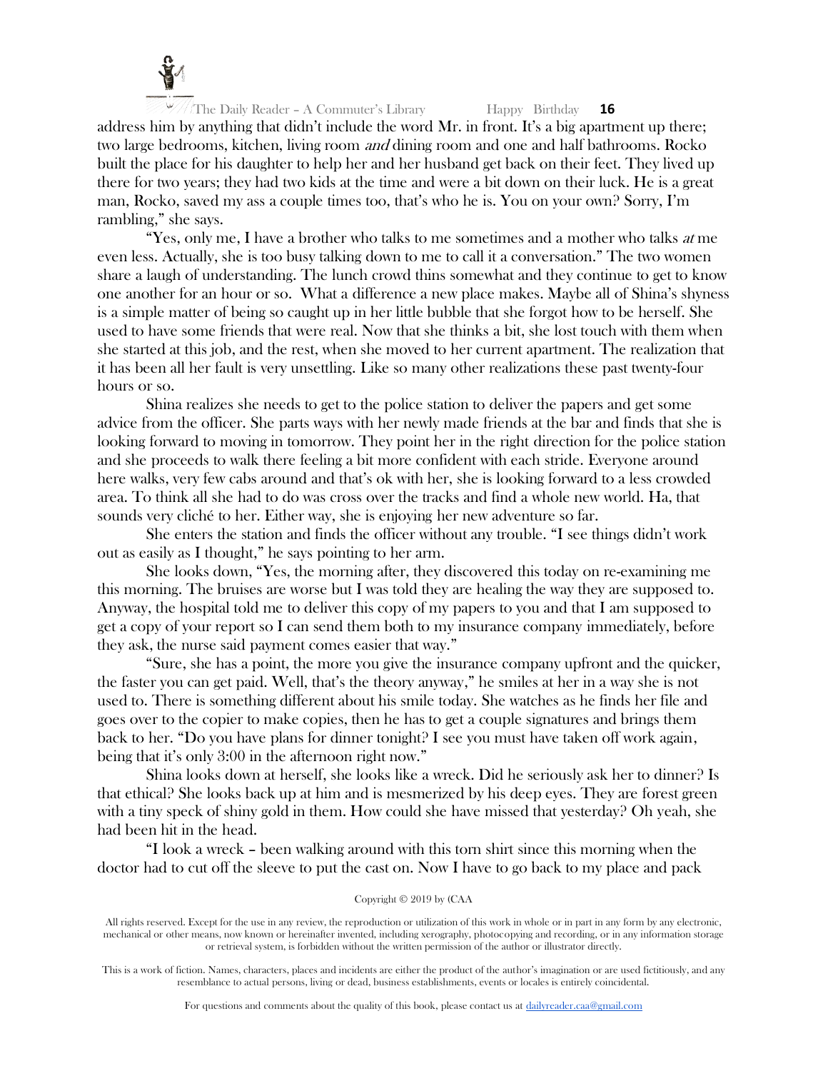

address him by anything that didn't include the word Mr. in front. It's a big apartment up there; two large bedrooms, kitchen, living room and dining room and one and half bathrooms. Rocko built the place for his daughter to help her and her husband get back on their feet. They lived up there for two years; they had two kids at the time and were a bit down on their luck. He is a great man, Rocko, saved my ass a couple times too, that's who he is. You on your own? Sorry, I'm rambling," she says.

"Yes, only me, I have a brother who talks to me sometimes and a mother who talks at me even less. Actually, she is too busy talking down to me to call it a conversation." The two women share a laugh of understanding. The lunch crowd thins somewhat and they continue to get to know one another for an hour or so. What a difference a new place makes. Maybe all of Shina's shyness is a simple matter of being so caught up in her little bubble that she forgot how to be herself. She used to have some friends that were real. Now that she thinks a bit, she lost touch with them when she started at this job, and the rest, when she moved to her current apartment. The realization that it has been all her fault is very unsettling. Like so many other realizations these past twenty-four hours or so.

Shina realizes she needs to get to the police station to deliver the papers and get some advice from the officer. She parts ways with her newly made friends at the bar and finds that she is looking forward to moving in tomorrow. They point her in the right direction for the police station and she proceeds to walk there feeling a bit more confident with each stride. Everyone around here walks, very few cabs around and that's ok with her, she is looking forward to a less crowded area. To think all she had to do was cross over the tracks and find a whole new world. Ha, that sounds very cliché to her. Either way, she is enjoying her new adventure so far.

She enters the station and finds the officer without any trouble. "I see things didn't work out as easily as I thought," he says pointing to her arm.

She looks down, "Yes, the morning after, they discovered this today on re-examining me this morning. The bruises are worse but I was told they are healing the way they are supposed to. Anyway, the hospital told me to deliver this copy of my papers to you and that I am supposed to get a copy of your report so I can send them both to my insurance company immediately, before they ask, the nurse said payment comes easier that way."

"Sure, she has a point, the more you give the insurance company upfront and the quicker, the faster you can get paid. Well, that's the theory anyway," he smiles at her in a way she is not used to. There is something different about his smile today. She watches as he finds her file and goes over to the copier to make copies, then he has to get a couple signatures and brings them back to her. "Do you have plans for dinner tonight? I see you must have taken off work again, being that it's only 3:00 in the afternoon right now."

Shina looks down at herself, she looks like a wreck. Did he seriously ask her to dinner? Is that ethical? She looks back up at him and is mesmerized by his deep eyes. They are forest green with a tiny speck of shiny gold in them. How could she have missed that yesterday? Oh yeah, she had been hit in the head.

"I look a wreck – been walking around with this torn shirt since this morning when the doctor had to cut off the sleeve to put the cast on. Now I have to go back to my place and pack

## Copyright © 2019 by (CAA

All rights reserved. Except for the use in any review, the reproduction or utilization of this work in whole or in part in any form by any electronic, mechanical or other means, now known or hereinafter invented, including xerography, photocopying and recording, or in any information storage or retrieval system, is forbidden without the written permission of the author or illustrator directly.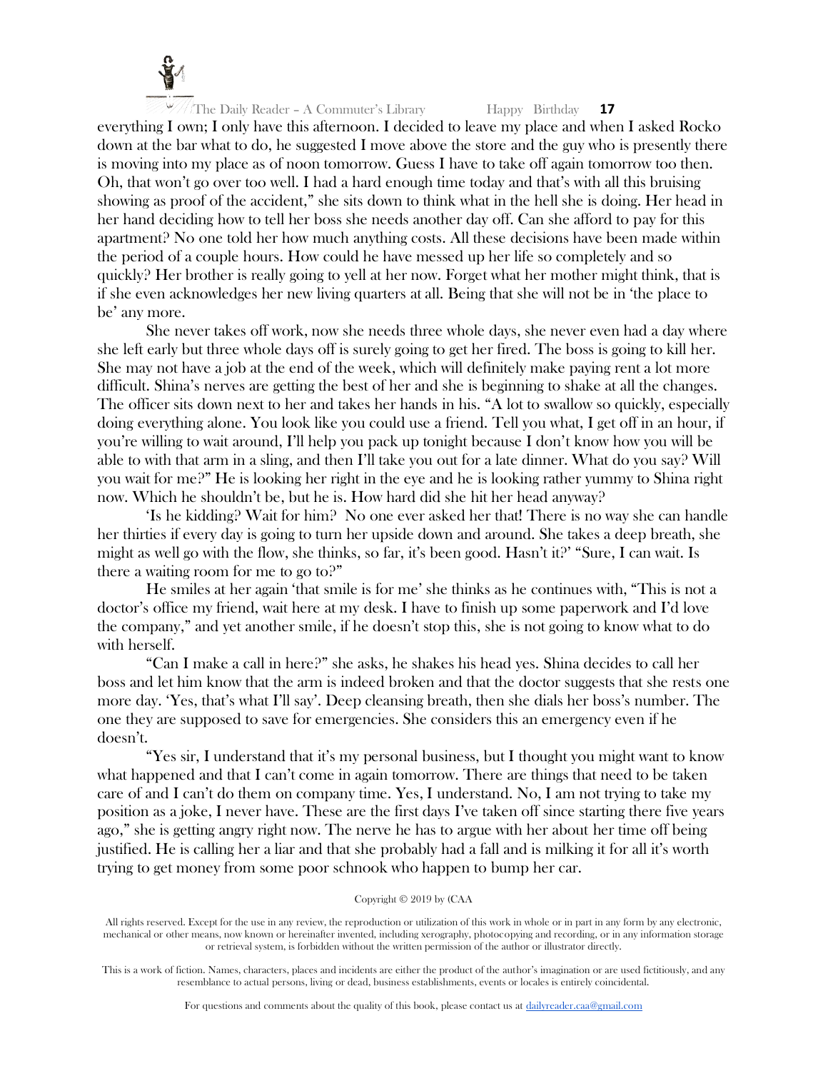

everything I own; I only have this afternoon. I decided to leave my place and when I asked Rocko down at the bar what to do, he suggested I move above the store and the guy who is presently there is moving into my place as of noon tomorrow. Guess I have to take off again tomorrow too then. Oh, that won't go over too well. I had a hard enough time today and that's with all this bruising showing as proof of the accident," she sits down to think what in the hell she is doing. Her head in her hand deciding how to tell her boss she needs another day off. Can she afford to pay for this apartment? No one told her how much anything costs. All these decisions have been made within the period of a couple hours. How could he have messed up her life so completely and so quickly? Her brother is really going to yell at her now. Forget what her mother might think, that is if she even acknowledges her new living quarters at all. Being that she will not be in 'the place to be' any more.

She never takes off work, now she needs three whole days, she never even had a day where she left early but three whole days off is surely going to get her fired. The boss is going to kill her. She may not have a job at the end of the week, which will definitely make paying rent a lot more difficult. Shina's nerves are getting the best of her and she is beginning to shake at all the changes. The officer sits down next to her and takes her hands in his. "A lot to swallow so quickly, especially doing everything alone. You look like you could use a friend. Tell you what, I get off in an hour, if you're willing to wait around, I'll help you pack up tonight because I don't know how you will be able to with that arm in a sling, and then I'll take you out for a late dinner. What do you say? Will you wait for me?" He is looking her right in the eye and he is looking rather yummy to Shina right now. Which he shouldn't be, but he is. How hard did she hit her head anyway?

'Is he kidding? Wait for him? No one ever asked her that! There is no way she can handle her thirties if every day is going to turn her upside down and around. She takes a deep breath, she might as well go with the flow, she thinks, so far, it's been good. Hasn't it?' "Sure, I can wait. Is there a waiting room for me to go to?"

He smiles at her again 'that smile is for me' she thinks as he continues with, "This is not a doctor's office my friend, wait here at my desk. I have to finish up some paperwork and I'd love the company," and yet another smile, if he doesn't stop this, she is not going to know what to do with herself.

"Can I make a call in here?" she asks, he shakes his head yes. Shina decides to call her boss and let him know that the arm is indeed broken and that the doctor suggests that she rests one more day. 'Yes, that's what I'll say'. Deep cleansing breath, then she dials her boss's number. The one they are supposed to save for emergencies. She considers this an emergency even if he doesn't.

"Yes sir, I understand that it's my personal business, but I thought you might want to know what happened and that I can't come in again tomorrow. There are things that need to be taken care of and I can't do them on company time. Yes, I understand. No, I am not trying to take my position as a joke, I never have. These are the first days I've taken off since starting there five years ago," she is getting angry right now. The nerve he has to argue with her about her time off being justified. He is calling her a liar and that she probably had a fall and is milking it for all it's worth trying to get money from some poor schnook who happen to bump her car.

## Copyright © 2019 by (CAA

All rights reserved. Except for the use in any review, the reproduction or utilization of this work in whole or in part in any form by any electronic, mechanical or other means, now known or hereinafter invented, including xerography, photocopying and recording, or in any information storage or retrieval system, is forbidden without the written permission of the author or illustrator directly.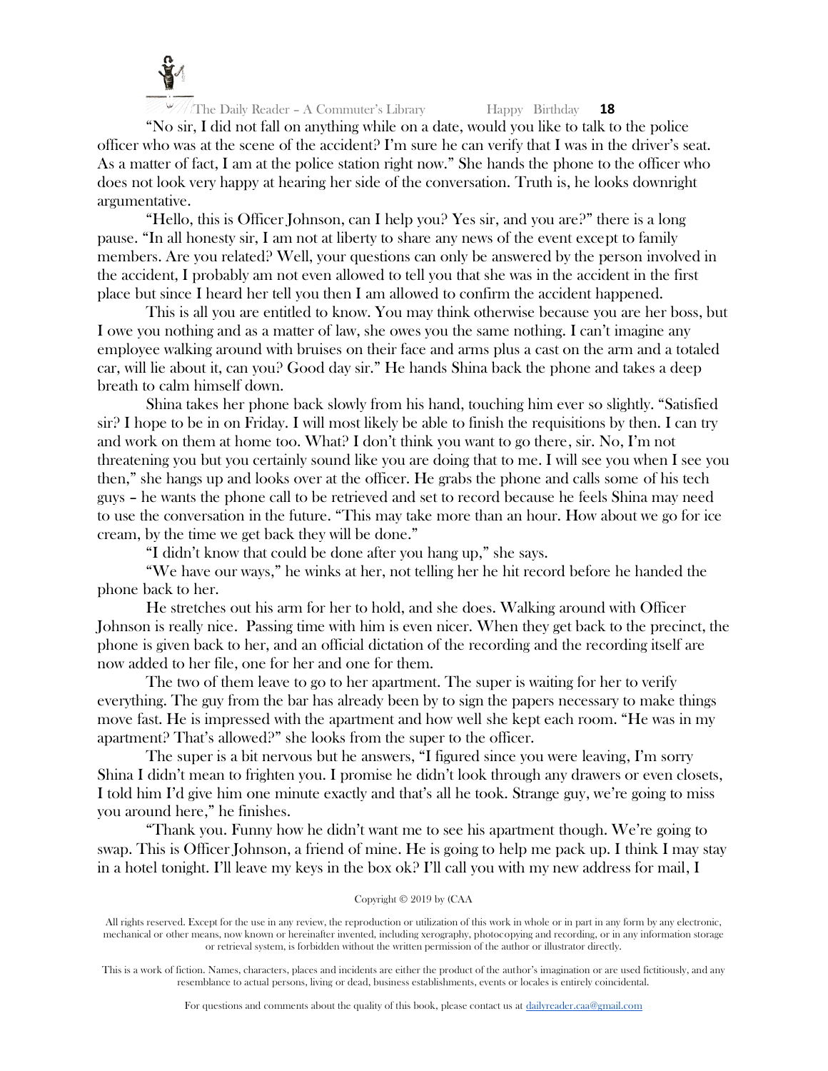

"No sir, I did not fall on anything while on a date, would you like to talk to the police officer who was at the scene of the accident? I'm sure he can verify that I was in the driver's seat. As a matter of fact, I am at the police station right now." She hands the phone to the officer who does not look very happy at hearing her side of the conversation. Truth is, he looks downright argumentative.

"Hello, this is Officer Johnson, can I help you? Yes sir, and you are?" there is a long pause. "In all honesty sir, I am not at liberty to share any news of the event except to family members. Are you related? Well, your questions can only be answered by the person involved in the accident, I probably am not even allowed to tell you that she was in the accident in the first place but since I heard her tell you then I am allowed to confirm the accident happened.

This is all you are entitled to know. You may think otherwise because you are her boss, but I owe you nothing and as a matter of law, she owes you the same nothing. I can't imagine any employee walking around with bruises on their face and arms plus a cast on the arm and a totaled car, will lie about it, can you? Good day sir." He hands Shina back the phone and takes a deep breath to calm himself down.

Shina takes her phone back slowly from his hand, touching him ever so slightly. "Satisfied sir? I hope to be in on Friday. I will most likely be able to finish the requisitions by then. I can try and work on them at home too. What? I don't think you want to go there, sir. No, I'm not threatening you but you certainly sound like you are doing that to me. I will see you when I see you then," she hangs up and looks over at the officer. He grabs the phone and calls some of his tech guys – he wants the phone call to be retrieved and set to record because he feels Shina may need to use the conversation in the future. "This may take more than an hour. How about we go for ice cream, by the time we get back they will be done."

"I didn't know that could be done after you hang up," she says.

"We have our ways," he winks at her, not telling her he hit record before he handed the phone back to her.

He stretches out his arm for her to hold, and she does. Walking around with Officer Johnson is really nice. Passing time with him is even nicer. When they get back to the precinct, the phone is given back to her, and an official dictation of the recording and the recording itself are now added to her file, one for her and one for them.

The two of them leave to go to her apartment. The super is waiting for her to verify everything. The guy from the bar has already been by to sign the papers necessary to make things move fast. He is impressed with the apartment and how well she kept each room. "He was in my apartment? That's allowed?" she looks from the super to the officer.

The super is a bit nervous but he answers, "I figured since you were leaving, I'm sorry Shina I didn't mean to frighten you. I promise he didn't look through any drawers or even closets, I told him I'd give him one minute exactly and that's all he took. Strange guy, we're going to miss you around here," he finishes.

"Thank you. Funny how he didn't want me to see his apartment though. We're going to swap. This is Officer Johnson, a friend of mine. He is going to help me pack up. I think I may stay in a hotel tonight. I'll leave my keys in the box ok? I'll call you with my new address for mail, I

# Copyright © 2019 by (CAA

All rights reserved. Except for the use in any review, the reproduction or utilization of this work in whole or in part in any form by any electronic, mechanical or other means, now known or hereinafter invented, including xerography, photocopying and recording, or in any information storage or retrieval system, is forbidden without the written permission of the author or illustrator directly.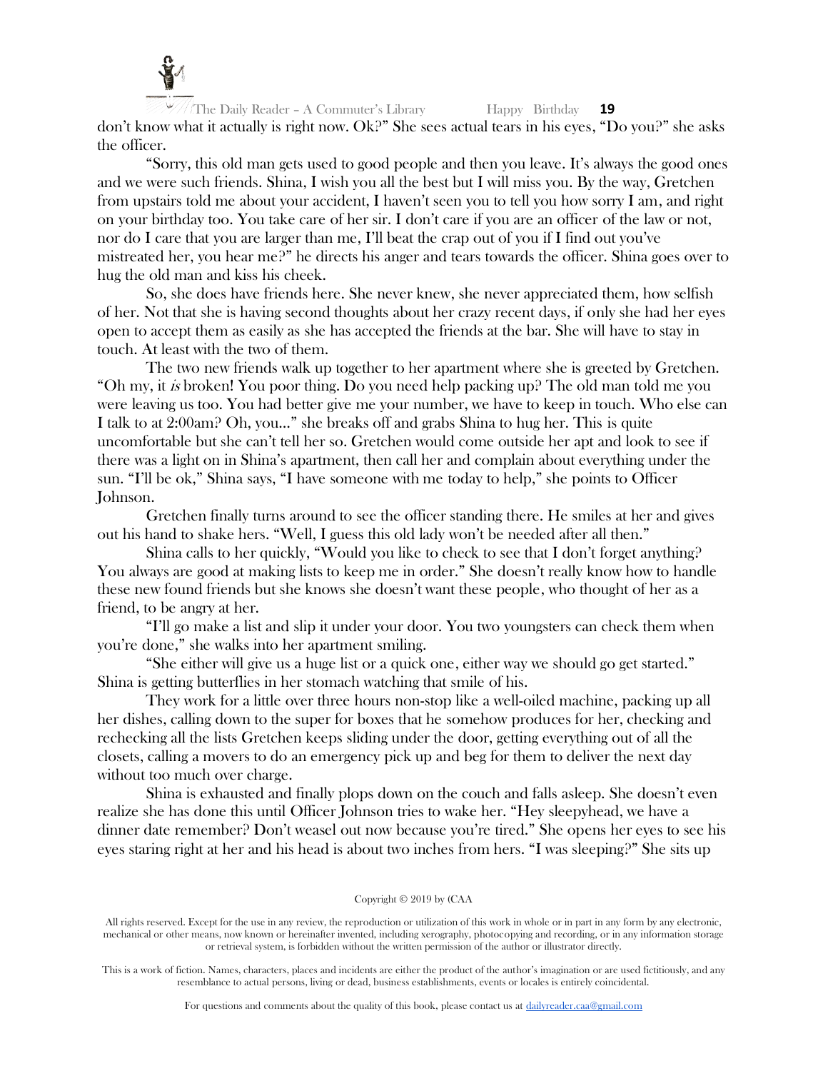

The Daily Reader – A Commuter's Library Happy Birthday **19** don't know what it actually is right now. Ok?" She sees actual tears in his eyes, "Do you?" she asks the officer.

"Sorry, this old man gets used to good people and then you leave. It's always the good ones and we were such friends. Shina, I wish you all the best but I will miss you. By the way, Gretchen from upstairs told me about your accident, I haven't seen you to tell you how sorry I am, and right on your birthday too. You take care of her sir. I don't care if you are an officer of the law or not, nor do I care that you are larger than me, I'll beat the crap out of you if I find out you've mistreated her, you hear me?" he directs his anger and tears towards the officer. Shina goes over to hug the old man and kiss his cheek.

So, she does have friends here. She never knew, she never appreciated them, how selfish of her. Not that she is having second thoughts about her crazy recent days, if only she had her eyes open to accept them as easily as she has accepted the friends at the bar. She will have to stay in touch. At least with the two of them.

The two new friends walk up together to her apartment where she is greeted by Gretchen. "Oh my, it is broken! You poor thing. Do you need help packing up? The old man told me you were leaving us too. You had better give me your number, we have to keep in touch. Who else can I talk to at 2:00am? Oh, you…" she breaks off and grabs Shina to hug her. This is quite uncomfortable but she can't tell her so. Gretchen would come outside her apt and look to see if there was a light on in Shina's apartment, then call her and complain about everything under the sun. "I'll be ok," Shina says, "I have someone with me today to help," she points to Officer Johnson.

Gretchen finally turns around to see the officer standing there. He smiles at her and gives out his hand to shake hers. "Well, I guess this old lady won't be needed after all then."

Shina calls to her quickly, "Would you like to check to see that I don't forget anything? You always are good at making lists to keep me in order." She doesn't really know how to handle these new found friends but she knows she doesn't want these people, who thought of her as a friend, to be angry at her.

"I'll go make a list and slip it under your door. You two youngsters can check them when you're done," she walks into her apartment smiling.

"She either will give us a huge list or a quick one, either way we should go get started." Shina is getting butterflies in her stomach watching that smile of his.

They work for a little over three hours non-stop like a well-oiled machine, packing up all her dishes, calling down to the super for boxes that he somehow produces for her, checking and rechecking all the lists Gretchen keeps sliding under the door, getting everything out of all the closets, calling a movers to do an emergency pick up and beg for them to deliver the next day without too much over charge.

Shina is exhausted and finally plops down on the couch and falls asleep. She doesn't even realize she has done this until Officer Johnson tries to wake her. "Hey sleepyhead, we have a dinner date remember? Don't weasel out now because you're tired." She opens her eyes to see his eyes staring right at her and his head is about two inches from hers. "I was sleeping?" She sits up

#### Copyright © 2019 by (CAA

All rights reserved. Except for the use in any review, the reproduction or utilization of this work in whole or in part in any form by any electronic, mechanical or other means, now known or hereinafter invented, including xerography, photocopying and recording, or in any information storage or retrieval system, is forbidden without the written permission of the author or illustrator directly.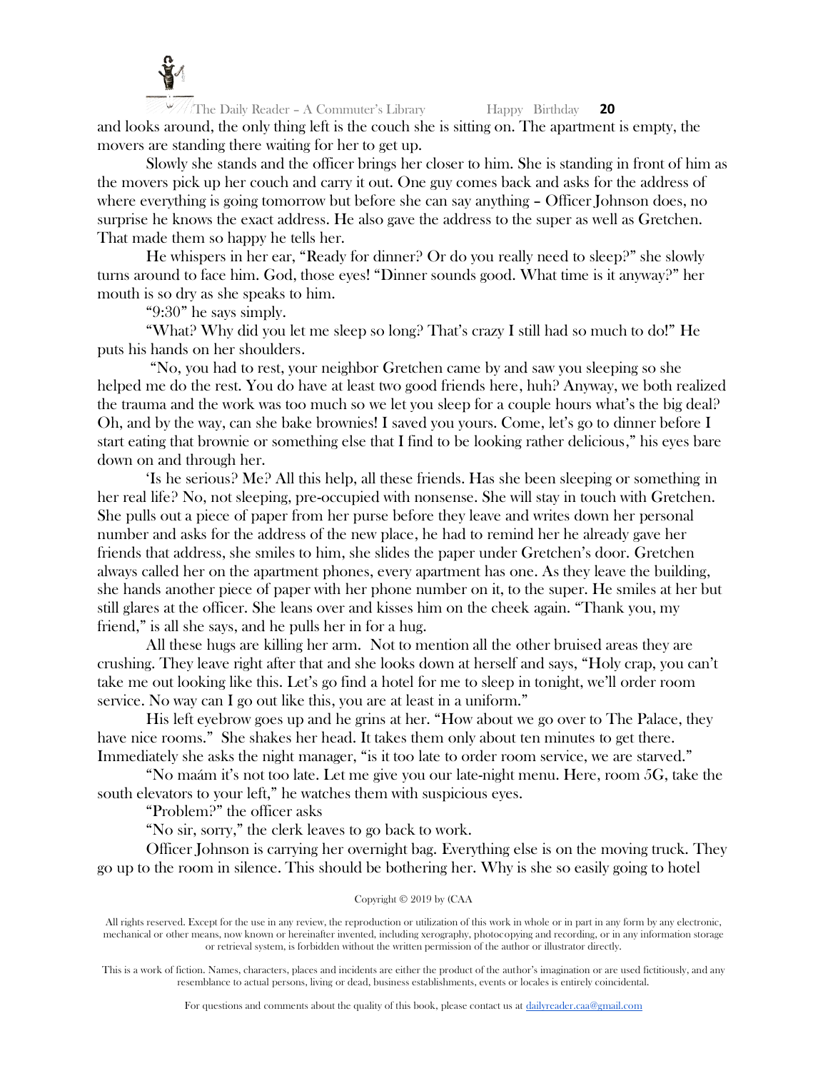

The Daily Reader – A Commuter's Library Happy Birthday **20** and looks around, the only thing left is the couch she is sitting on. The apartment is empty, the movers are standing there waiting for her to get up.

Slowly she stands and the officer brings her closer to him. She is standing in front of him as the movers pick up her couch and carry it out. One guy comes back and asks for the address of where everything is going tomorrow but before she can say anything - Officer Johnson does, no surprise he knows the exact address. He also gave the address to the super as well as Gretchen. That made them so happy he tells her.

He whispers in her ear, "Ready for dinner? Or do you really need to sleep?" she slowly turns around to face him. God, those eyes! "Dinner sounds good. What time is it anyway?" her mouth is so dry as she speaks to him.

"9:30" he says simply.

"What? Why did you let me sleep so long? That's crazy I still had so much to do!" He puts his hands on her shoulders.

"No, you had to rest, your neighbor Gretchen came by and saw you sleeping so she helped me do the rest. You do have at least two good friends here, huh? Anyway, we both realized the trauma and the work was too much so we let you sleep for a couple hours what's the big deal? Oh, and by the way, can she bake brownies! I saved you yours. Come, let's go to dinner before I start eating that brownie or something else that I find to be looking rather delicious," his eyes bare down on and through her.

'Is he serious? Me? All this help, all these friends. Has she been sleeping or something in her real life? No, not sleeping, pre-occupied with nonsense. She will stay in touch with Gretchen. She pulls out a piece of paper from her purse before they leave and writes down her personal number and asks for the address of the new place, he had to remind her he already gave her friends that address, she smiles to him, she slides the paper under Gretchen's door. Gretchen always called her on the apartment phones, every apartment has one. As they leave the building, she hands another piece of paper with her phone number on it, to the super. He smiles at her but still glares at the officer. She leans over and kisses him on the cheek again. "Thank you, my friend," is all she says, and he pulls her in for a hug.

All these hugs are killing her arm. Not to mention all the other bruised areas they are crushing. They leave right after that and she looks down at herself and says, "Holy crap, you can't take me out looking like this. Let's go find a hotel for me to sleep in tonight, we'll order room service. No way can I go out like this, you are at least in a uniform."

His left eyebrow goes up and he grins at her. "How about we go over to The Palace, they have nice rooms." She shakes her head. It takes them only about ten minutes to get there. Immediately she asks the night manager, "is it too late to order room service, we are starved."

"No maám it's not too late. Let me give you our late-night menu. Here, room 5G, take the south elevators to your left," he watches them with suspicious eyes.

"Problem?" the officer asks

"No sir, sorry," the clerk leaves to go back to work.

Officer Johnson is carrying her overnight bag. Everything else is on the moving truck. They go up to the room in silence. This should be bothering her. Why is she so easily going to hotel

Copyright © 2019 by (CAA

All rights reserved. Except for the use in any review, the reproduction or utilization of this work in whole or in part in any form by any electronic, mechanical or other means, now known or hereinafter invented, including xerography, photocopying and recording, or in any information storage or retrieval system, is forbidden without the written permission of the author or illustrator directly.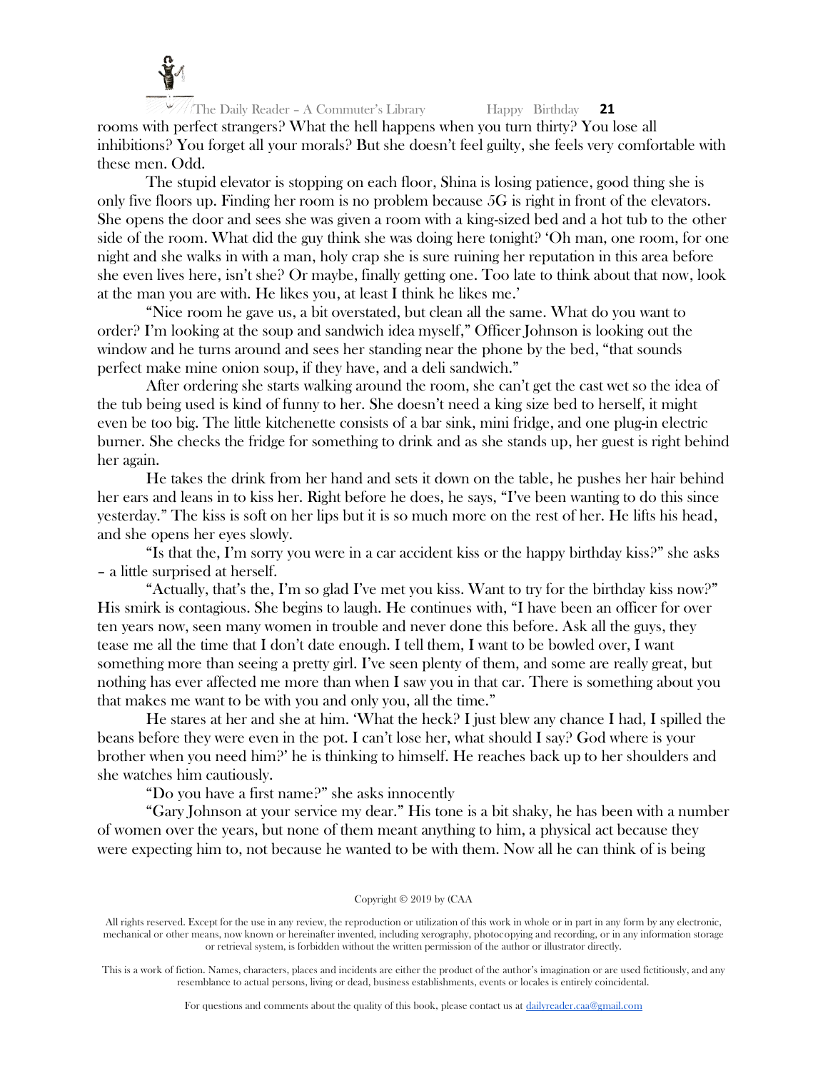

The Daily Reader – A Commuter's Library Happy Birthday **21** rooms with perfect strangers? What the hell happens when you turn thirty? You lose all inhibitions? You forget all your morals? But she doesn't feel guilty, she feels very comfortable with these men. Odd.

The stupid elevator is stopping on each floor, Shina is losing patience, good thing she is only five floors up. Finding her room is no problem because 5G is right in front of the elevators. She opens the door and sees she was given a room with a king-sized bed and a hot tub to the other side of the room. What did the guy think she was doing here tonight? 'Oh man, one room, for one night and she walks in with a man, holy crap she is sure ruining her reputation in this area before she even lives here, isn't she? Or maybe, finally getting one. Too late to think about that now, look at the man you are with. He likes you, at least I think he likes me.'

"Nice room he gave us, a bit overstated, but clean all the same. What do you want to order? I'm looking at the soup and sandwich idea myself," Officer Johnson is looking out the window and he turns around and sees her standing near the phone by the bed, "that sounds" perfect make mine onion soup, if they have, and a deli sandwich."

After ordering she starts walking around the room, she can't get the cast wet so the idea of the tub being used is kind of funny to her. She doesn't need a king size bed to herself, it might even be too big. The little kitchenette consists of a bar sink, mini fridge, and one plug-in electric burner. She checks the fridge for something to drink and as she stands up, her guest is right behind her again.

He takes the drink from her hand and sets it down on the table, he pushes her hair behind her ears and leans in to kiss her. Right before he does, he says, "I've been wanting to do this since yesterday." The kiss is soft on her lips but it is so much more on the rest of her. He lifts his head, and she opens her eyes slowly.

"Is that the, I'm sorry you were in a car accident kiss or the happy birthday kiss?" she asks – a little surprised at herself.

"Actually, that's the, I'm so glad I've met you kiss. Want to try for the birthday kiss now?" His smirk is contagious. She begins to laugh. He continues with, "I have been an officer for over ten years now, seen many women in trouble and never done this before. Ask all the guys, they tease me all the time that I don't date enough. I tell them, I want to be bowled over, I want something more than seeing a pretty girl. I've seen plenty of them, and some are really great, but nothing has ever affected me more than when I saw you in that car. There is something about you that makes me want to be with you and only you, all the time."

He stares at her and she at him. 'What the heck? I just blew any chance I had, I spilled the beans before they were even in the pot. I can't lose her, what should I say? God where is your brother when you need him?' he is thinking to himself. He reaches back up to her shoulders and she watches him cautiously.

"Do you have a first name?" she asks innocently

"Gary Johnson at your service my dear." His tone is a bit shaky, he has been with a number of women over the years, but none of them meant anything to him, a physical act because they were expecting him to, not because he wanted to be with them. Now all he can think of is being

Copyright © 2019 by (CAA

All rights reserved. Except for the use in any review, the reproduction or utilization of this work in whole or in part in any form by any electronic, mechanical or other means, now known or hereinafter invented, including xerography, photocopying and recording, or in any information storage or retrieval system, is forbidden without the written permission of the author or illustrator directly.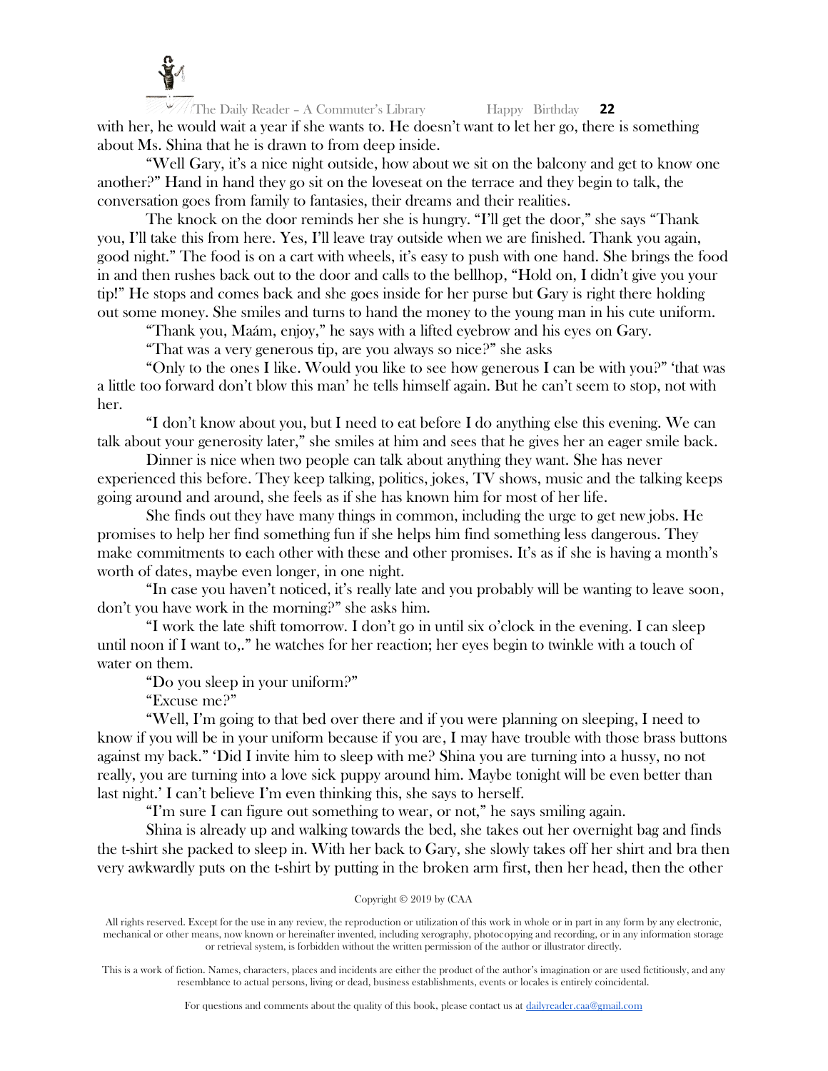

The Daily Reader – A Commuter's Library Happy Birthday **22** with her, he would wait a year if she wants to. He doesn't want to let her go, there is something about Ms. Shina that he is drawn to from deep inside.

"Well Gary, it's a nice night outside, how about we sit on the balcony and get to know one another?" Hand in hand they go sit on the loveseat on the terrace and they begin to talk, the conversation goes from family to fantasies, their dreams and their realities.

The knock on the door reminds her she is hungry. "I'll get the door," she says "Thank you, I'll take this from here. Yes, I'll leave tray outside when we are finished. Thank you again, good night." The food is on a cart with wheels, it's easy to push with one hand. She brings the food in and then rushes back out to the door and calls to the bellhop, "Hold on, I didn't give you your tip!" He stops and comes back and she goes inside for her purse but Gary is right there holding out some money. She smiles and turns to hand the money to the young man in his cute uniform.

"Thank you, Maám, enjoy," he says with a lifted eyebrow and his eyes on Gary.

"That was a very generous tip, are you always so nice?" she asks

"Only to the ones I like. Would you like to see how generous I can be with you?" 'that was a little too forward don't blow this man' he tells himself again. But he can't seem to stop, not with her.

"I don't know about you, but I need to eat before I do anything else this evening. We can talk about your generosity later," she smiles at him and sees that he gives her an eager smile back.

Dinner is nice when two people can talk about anything they want. She has never experienced this before. They keep talking, politics, jokes, TV shows, music and the talking keeps going around and around, she feels as if she has known him for most of her life.

She finds out they have many things in common, including the urge to get new jobs. He promises to help her find something fun if she helps him find something less dangerous. They make commitments to each other with these and other promises. It's as if she is having a month's worth of dates, maybe even longer, in one night.

"In case you haven't noticed, it's really late and you probably will be wanting to leave soon, don't you have work in the morning?" she asks him.

"I work the late shift tomorrow. I don't go in until six o'clock in the evening. I can sleep until noon if I want to,." he watches for her reaction; her eyes begin to twinkle with a touch of water on them.

"Do you sleep in your uniform?"

"Excuse me?"

"Well, I'm going to that bed over there and if you were planning on sleeping, I need to know if you will be in your uniform because if you are, I may have trouble with those brass buttons against my back." 'Did I invite him to sleep with me? Shina you are turning into a hussy, no not really, you are turning into a love sick puppy around him. Maybe tonight will be even better than last night.' I can't believe I'm even thinking this, she says to herself.

"I'm sure I can figure out something to wear, or not," he says smiling again.

Shina is already up and walking towards the bed, she takes out her overnight bag and finds the t-shirt she packed to sleep in. With her back to Gary, she slowly takes off her shirt and bra then very awkwardly puts on the t-shirt by putting in the broken arm first, then her head, then the other

# Copyright © 2019 by (CAA

All rights reserved. Except for the use in any review, the reproduction or utilization of this work in whole or in part in any form by any electronic, mechanical or other means, now known or hereinafter invented, including xerography, photocopying and recording, or in any information storage or retrieval system, is forbidden without the written permission of the author or illustrator directly.